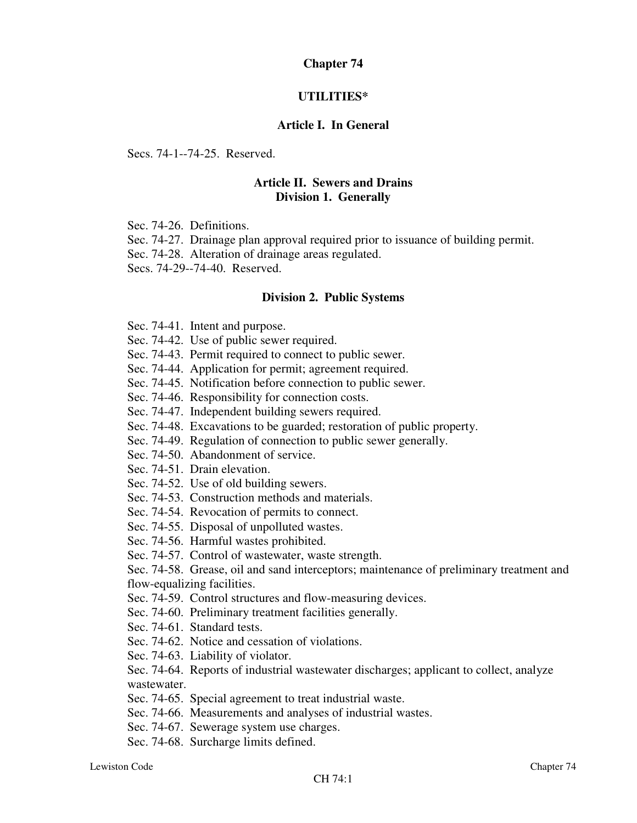### **Chapter 74**

#### **UTILITIES\***

#### **Article I. In General**

Secs. 74-1--74-25. Reserved.

# **Article II. Sewers and Drains Division 1. Generally**

Sec. 74-26. Definitions.

Sec. 74-27. Drainage plan approval required prior to issuance of building permit.

Sec. 74-28. Alteration of drainage areas regulated.

Secs. 74-29--74-40. Reserved.

#### **Division 2. Public Systems**

Sec. 74-41. Intent and purpose.

Sec. 74-42. Use of public sewer required.

Sec. 74-43. Permit required to connect to public sewer.

Sec. 74-44. Application for permit; agreement required.

Sec. 74-45. Notification before connection to public sewer.

Sec. 74-46. Responsibility for connection costs.

Sec. 74-47. Independent building sewers required.

Sec. 74-48. Excavations to be guarded; restoration of public property.

Sec. 74-49. Regulation of connection to public sewer generally.

Sec. 74-50. Abandonment of service.

Sec. 74-51. Drain elevation.

Sec. 74-52. Use of old building sewers.

Sec. 74-53. Construction methods and materials.

Sec. 74-54. Revocation of permits to connect.

Sec. 74-55. Disposal of unpolluted wastes.

Sec. 74-56. Harmful wastes prohibited.

Sec. 74-57. Control of wastewater, waste strength.

Sec. 74-58. Grease, oil and sand interceptors; maintenance of preliminary treatment and flow-equalizing facilities.

Sec. 74-59. Control structures and flow-measuring devices.

Sec. 74-60. Preliminary treatment facilities generally.

Sec. 74-61. Standard tests.

Sec. 74-62. Notice and cessation of violations.

Sec. 74-63. Liability of violator.

Sec. 74-64. Reports of industrial wastewater discharges; applicant to collect, analyze wastewater.

Sec. 74-65. Special agreement to treat industrial waste.

Sec. 74-66. Measurements and analyses of industrial wastes.

Sec. 74-67. Sewerage system use charges.

Sec. 74-68. Surcharge limits defined.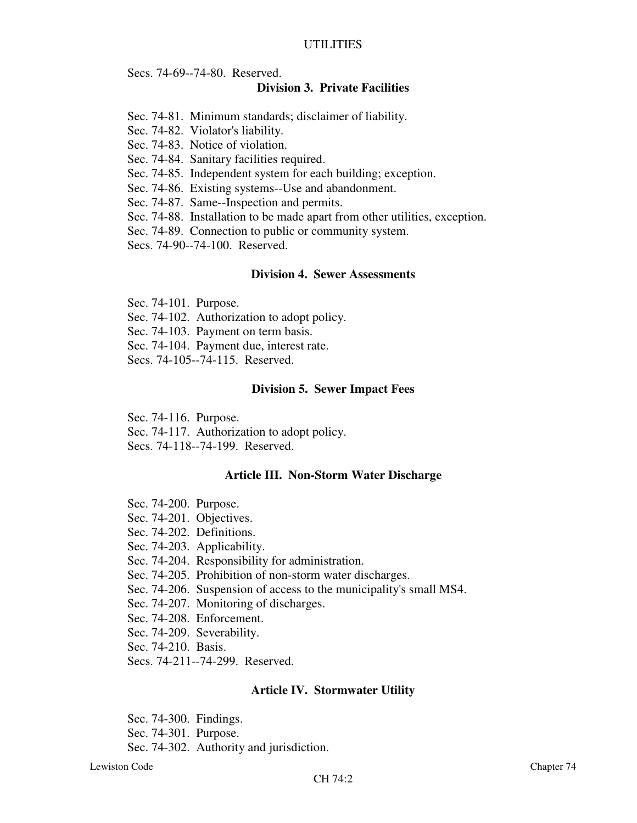Secs. 74-69--74-80. Reserved.

#### **Division 3. Private Facilities**

- Sec. 74-81. Minimum standards; disclaimer of liability.
- Sec. 74-82. Violator's liability.
- Sec. 74-83. Notice of violation.
- Sec. 74-84. Sanitary facilities required.
- Sec. 74-85. Independent system for each building; exception.
- Sec. 74-86. Existing systems--Use and abandonment.

Sec. 74-87. Same--Inspection and permits.

- Sec. 74-88. Installation to be made apart from other utilities, exception.
- Sec. 74-89. Connection to public or community system.

Secs. 74-90--74-100. Reserved.

### **Division 4. Sewer Assessments**

Sec. 74-101. Purpose.

Sec. 74-102. Authorization to adopt policy.

Sec. 74-103. Payment on term basis.

Sec. 74-104. Payment due, interest rate.

Secs. 74-105--74-115. Reserved.

#### **Division 5. Sewer Impact Fees**

Sec. 74-116. Purpose.

Sec. 74-117. Authorization to adopt policy.

Secs. 74-118--74-199. Reserved.

#### **Article III. Non-Storm Water Discharge**

- Sec. 74-200. Purpose.
- Sec. 74-201. Objectives.
- Sec. 74-202. Definitions.

Sec. 74-203. Applicability.

- Sec. 74-204. Responsibility for administration.
- Sec. 74-205. Prohibition of non-storm water discharges.
- Sec. 74-206. Suspension of access to the municipality's small MS4.
- Sec. 74-207. Monitoring of discharges.
- Sec. 74-208. Enforcement.
- Sec. 74-209. Severability.

Sec. 74-210. Basis.

Secs. 74-211--74-299. Reserved.

#### **Article IV. Stormwater Utility**

Sec. 74-300. Findings.

Sec. 74-301. Purpose.

Sec. 74-302. Authority and jurisdiction.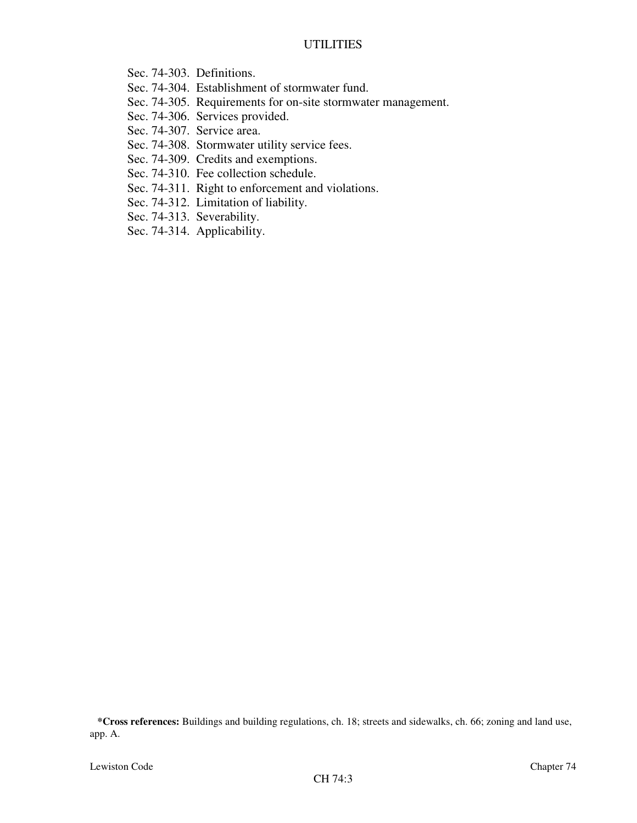- Sec. 74-303. Definitions.
- Sec. 74-304. Establishment of stormwater fund.
- Sec. 74-305. Requirements for on-site stormwater management.
- Sec. 74-306. Services provided.
- Sec. 74-307. Service area.
- Sec. 74-308. Stormwater utility service fees.
- Sec. 74-309. Credits and exemptions.
- Sec. 74-310. Fee collection schedule.
- Sec. 74-311. Right to enforcement and violations.
- Sec. 74-312. Limitation of liability.
- Sec. 74-313. Severability.
- Sec. 74-314. Applicability.

**\*Cross references:** Buildings and building regulations, ch. 18; streets and sidewalks, ch. 66; zoning and land use, app. A.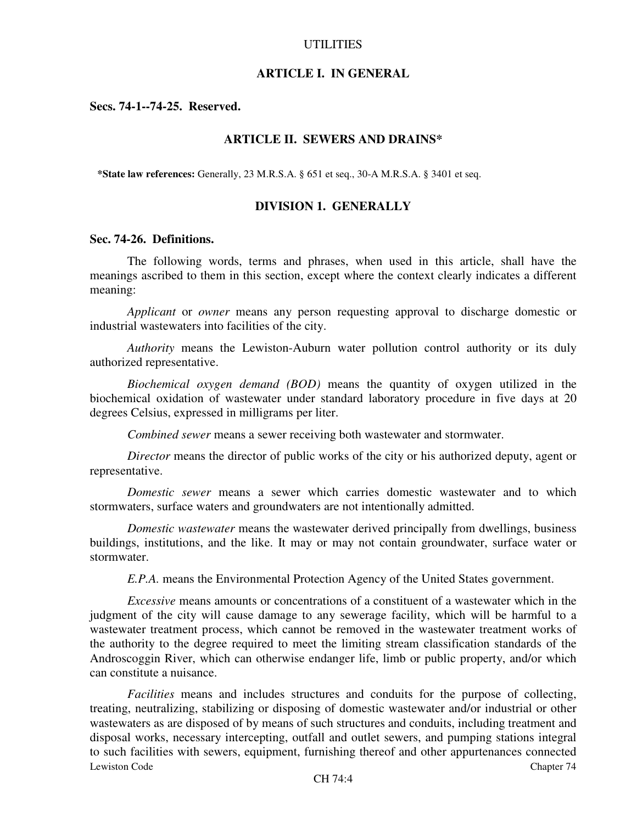#### **ARTICLE I. IN GENERAL**

**Secs. 74-1--74-25. Reserved.**

### **ARTICLE II. SEWERS AND DRAINS\***

**\*State law references:** Generally, 23 M.R.S.A. § 651 et seq., 30-A M.R.S.A. § 3401 et seq.

### **DIVISION 1. GENERALLY**

#### **Sec. 74-26. Definitions.**

The following words, terms and phrases, when used in this article, shall have the meanings ascribed to them in this section, except where the context clearly indicates a different meaning:

*Applicant* or *owner* means any person requesting approval to discharge domestic or industrial wastewaters into facilities of the city.

*Authority* means the Lewiston-Auburn water pollution control authority or its duly authorized representative.

*Biochemical oxygen demand (BOD)* means the quantity of oxygen utilized in the biochemical oxidation of wastewater under standard laboratory procedure in five days at 20 degrees Celsius, expressed in milligrams per liter.

*Combined sewer* means a sewer receiving both wastewater and stormwater.

*Director* means the director of public works of the city or his authorized deputy, agent or representative.

*Domestic sewer* means a sewer which carries domestic wastewater and to which stormwaters, surface waters and groundwaters are not intentionally admitted.

*Domestic wastewater* means the wastewater derived principally from dwellings, business buildings, institutions, and the like. It may or may not contain groundwater, surface water or stormwater.

*E.P.A.* means the Environmental Protection Agency of the United States government.

*Excessive* means amounts or concentrations of a constituent of a wastewater which in the judgment of the city will cause damage to any sewerage facility, which will be harmful to a wastewater treatment process, which cannot be removed in the wastewater treatment works of the authority to the degree required to meet the limiting stream classification standards of the Androscoggin River, which can otherwise endanger life, limb or public property, and/or which can constitute a nuisance.

Lewiston Code Chapter 74 *Facilities* means and includes structures and conduits for the purpose of collecting, treating, neutralizing, stabilizing or disposing of domestic wastewater and/or industrial or other wastewaters as are disposed of by means of such structures and conduits, including treatment and disposal works, necessary intercepting, outfall and outlet sewers, and pumping stations integral to such facilities with sewers, equipment, furnishing thereof and other appurtenances connected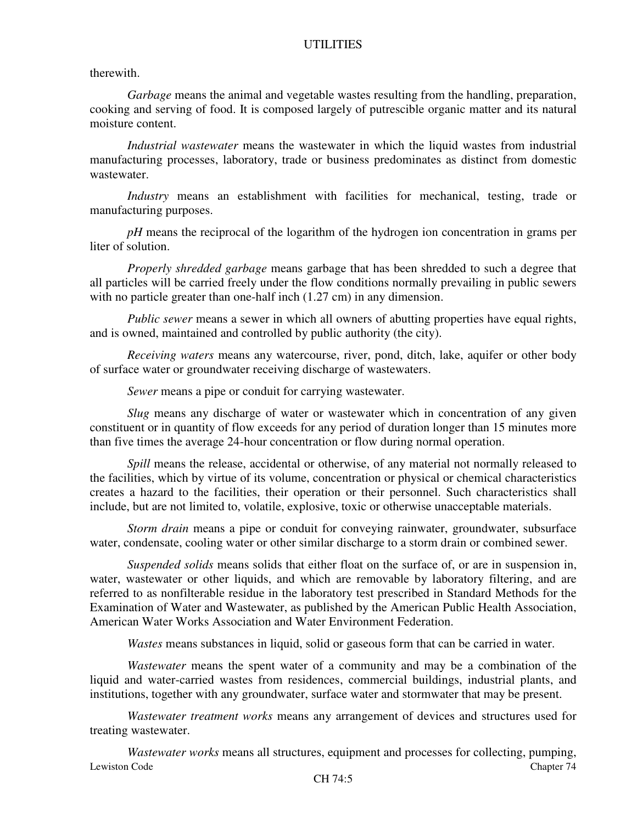therewith.

*Garbage* means the animal and vegetable wastes resulting from the handling, preparation, cooking and serving of food. It is composed largely of putrescible organic matter and its natural moisture content.

*Industrial wastewater* means the wastewater in which the liquid wastes from industrial manufacturing processes, laboratory, trade or business predominates as distinct from domestic wastewater.

*Industry* means an establishment with facilities for mechanical, testing, trade or manufacturing purposes.

*pH* means the reciprocal of the logarithm of the hydrogen ion concentration in grams per liter of solution.

*Properly shredded garbage* means garbage that has been shredded to such a degree that all particles will be carried freely under the flow conditions normally prevailing in public sewers with no particle greater than one-half inch  $(1.27 \text{ cm})$  in any dimension.

*Public sewer* means a sewer in which all owners of abutting properties have equal rights, and is owned, maintained and controlled by public authority (the city).

*Receiving waters* means any watercourse, river, pond, ditch, lake, aquifer or other body of surface water or groundwater receiving discharge of wastewaters.

*Sewer* means a pipe or conduit for carrying wastewater.

*Slug* means any discharge of water or wastewater which in concentration of any given constituent or in quantity of flow exceeds for any period of duration longer than 15 minutes more than five times the average 24-hour concentration or flow during normal operation.

*Spill* means the release, accidental or otherwise, of any material not normally released to the facilities, which by virtue of its volume, concentration or physical or chemical characteristics creates a hazard to the facilities, their operation or their personnel. Such characteristics shall include, but are not limited to, volatile, explosive, toxic or otherwise unacceptable materials.

*Storm drain* means a pipe or conduit for conveying rainwater, groundwater, subsurface water, condensate, cooling water or other similar discharge to a storm drain or combined sewer.

*Suspended solids* means solids that either float on the surface of, or are in suspension in, water, wastewater or other liquids, and which are removable by laboratory filtering, and are referred to as nonfilterable residue in the laboratory test prescribed in Standard Methods for the Examination of Water and Wastewater, as published by the American Public Health Association, American Water Works Association and Water Environment Federation.

*Wastes* means substances in liquid, solid or gaseous form that can be carried in water.

*Wastewater* means the spent water of a community and may be a combination of the liquid and water-carried wastes from residences, commercial buildings, industrial plants, and institutions, together with any groundwater, surface water and stormwater that may be present.

*Wastewater treatment works* means any arrangement of devices and structures used for treating wastewater.

Lewiston Code Chapter 74 *Wastewater works* means all structures, equipment and processes for collecting, pumping,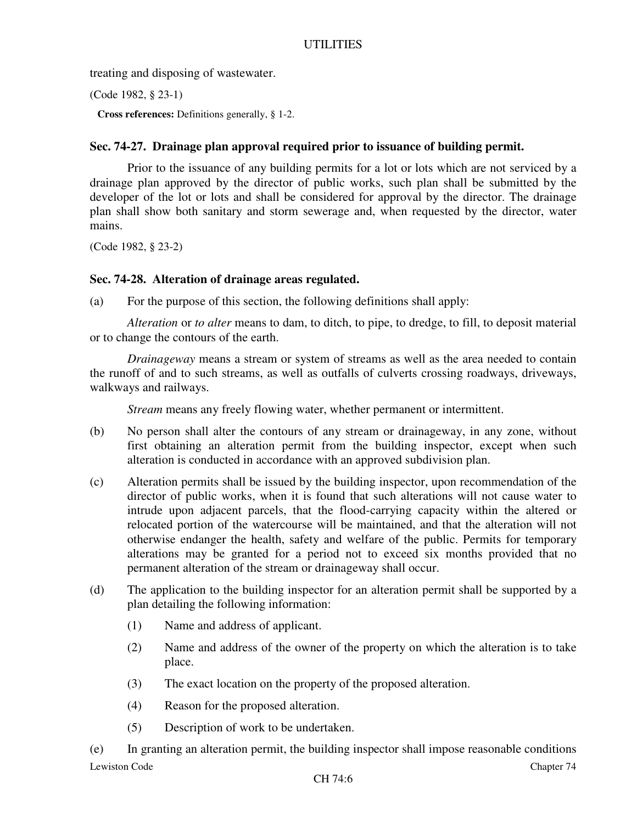treating and disposing of wastewater.

(Code 1982, § 23-1)

**Cross references:** Definitions generally, § 1-2.

# **Sec. 74-27. Drainage plan approval required prior to issuance of building permit.**

Prior to the issuance of any building permits for a lot or lots which are not serviced by a drainage plan approved by the director of public works, such plan shall be submitted by the developer of the lot or lots and shall be considered for approval by the director. The drainage plan shall show both sanitary and storm sewerage and, when requested by the director, water mains.

(Code 1982, § 23-2)

### **Sec. 74-28. Alteration of drainage areas regulated.**

(a) For the purpose of this section, the following definitions shall apply:

*Alteration* or *to alter* means to dam, to ditch, to pipe, to dredge, to fill, to deposit material or to change the contours of the earth.

*Drainageway* means a stream or system of streams as well as the area needed to contain the runoff of and to such streams, as well as outfalls of culverts crossing roadways, driveways, walkways and railways.

*Stream* means any freely flowing water, whether permanent or intermittent.

- (b) No person shall alter the contours of any stream or drainageway, in any zone, without first obtaining an alteration permit from the building inspector, except when such alteration is conducted in accordance with an approved subdivision plan.
- (c) Alteration permits shall be issued by the building inspector, upon recommendation of the director of public works, when it is found that such alterations will not cause water to intrude upon adjacent parcels, that the flood-carrying capacity within the altered or relocated portion of the watercourse will be maintained, and that the alteration will not otherwise endanger the health, safety and welfare of the public. Permits for temporary alterations may be granted for a period not to exceed six months provided that no permanent alteration of the stream or drainageway shall occur.
- (d) The application to the building inspector for an alteration permit shall be supported by a plan detailing the following information:
	- (1) Name and address of applicant.
	- (2) Name and address of the owner of the property on which the alteration is to take place.
	- (3) The exact location on the property of the proposed alteration.
	- (4) Reason for the proposed alteration.
	- (5) Description of work to be undertaken.

Lewiston Code Chapter 74 (e) In granting an alteration permit, the building inspector shall impose reasonable conditions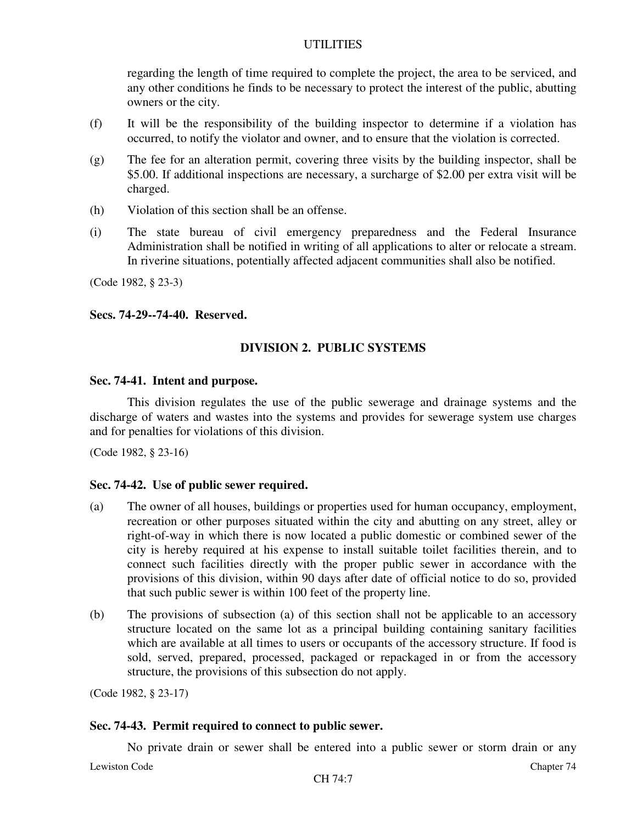regarding the length of time required to complete the project, the area to be serviced, and any other conditions he finds to be necessary to protect the interest of the public, abutting owners or the city.

- (f) It will be the responsibility of the building inspector to determine if a violation has occurred, to notify the violator and owner, and to ensure that the violation is corrected.
- (g) The fee for an alteration permit, covering three visits by the building inspector, shall be \$5.00. If additional inspections are necessary, a surcharge of \$2.00 per extra visit will be charged.
- (h) Violation of this section shall be an offense.
- (i) The state bureau of civil emergency preparedness and the Federal Insurance Administration shall be notified in writing of all applications to alter or relocate a stream. In riverine situations, potentially affected adjacent communities shall also be notified.

(Code 1982, § 23-3)

### **Secs. 74-29--74-40. Reserved.**

# **DIVISION 2. PUBLIC SYSTEMS**

#### **Sec. 74-41. Intent and purpose.**

This division regulates the use of the public sewerage and drainage systems and the discharge of waters and wastes into the systems and provides for sewerage system use charges and for penalties for violations of this division.

(Code 1982, § 23-16)

# **Sec. 74-42. Use of public sewer required.**

- (a) The owner of all houses, buildings or properties used for human occupancy, employment, recreation or other purposes situated within the city and abutting on any street, alley or right-of-way in which there is now located a public domestic or combined sewer of the city is hereby required at his expense to install suitable toilet facilities therein, and to connect such facilities directly with the proper public sewer in accordance with the provisions of this division, within 90 days after date of official notice to do so, provided that such public sewer is within 100 feet of the property line.
- (b) The provisions of subsection (a) of this section shall not be applicable to an accessory structure located on the same lot as a principal building containing sanitary facilities which are available at all times to users or occupants of the accessory structure. If food is sold, served, prepared, processed, packaged or repackaged in or from the accessory structure, the provisions of this subsection do not apply.

(Code 1982, § 23-17)

#### **Sec. 74-43. Permit required to connect to public sewer.**

Lewiston Code Chapter 74 No private drain or sewer shall be entered into a public sewer or storm drain or any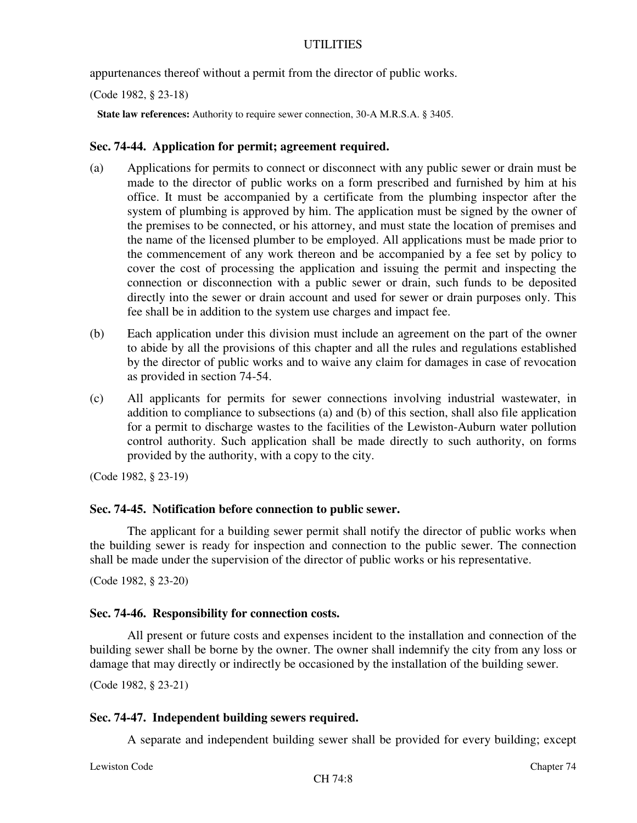appurtenances thereof without a permit from the director of public works.

(Code 1982, § 23-18)

**State law references:** Authority to require sewer connection, 30-A M.R.S.A. § 3405.

## **Sec. 74-44. Application for permit; agreement required.**

- (a) Applications for permits to connect or disconnect with any public sewer or drain must be made to the director of public works on a form prescribed and furnished by him at his office. It must be accompanied by a certificate from the plumbing inspector after the system of plumbing is approved by him. The application must be signed by the owner of the premises to be connected, or his attorney, and must state the location of premises and the name of the licensed plumber to be employed. All applications must be made prior to the commencement of any work thereon and be accompanied by a fee set by policy to cover the cost of processing the application and issuing the permit and inspecting the connection or disconnection with a public sewer or drain, such funds to be deposited directly into the sewer or drain account and used for sewer or drain purposes only. This fee shall be in addition to the system use charges and impact fee.
- (b) Each application under this division must include an agreement on the part of the owner to abide by all the provisions of this chapter and all the rules and regulations established by the director of public works and to waive any claim for damages in case of revocation as provided in section 74-54.
- (c) All applicants for permits for sewer connections involving industrial wastewater, in addition to compliance to subsections (a) and (b) of this section, shall also file application for a permit to discharge wastes to the facilities of the Lewiston-Auburn water pollution control authority. Such application shall be made directly to such authority, on forms provided by the authority, with a copy to the city.

(Code 1982, § 23-19)

# **Sec. 74-45. Notification before connection to public sewer.**

The applicant for a building sewer permit shall notify the director of public works when the building sewer is ready for inspection and connection to the public sewer. The connection shall be made under the supervision of the director of public works or his representative.

(Code 1982, § 23-20)

# **Sec. 74-46. Responsibility for connection costs.**

All present or future costs and expenses incident to the installation and connection of the building sewer shall be borne by the owner. The owner shall indemnify the city from any loss or damage that may directly or indirectly be occasioned by the installation of the building sewer.

(Code 1982, § 23-21)

# **Sec. 74-47. Independent building sewers required.**

A separate and independent building sewer shall be provided for every building; except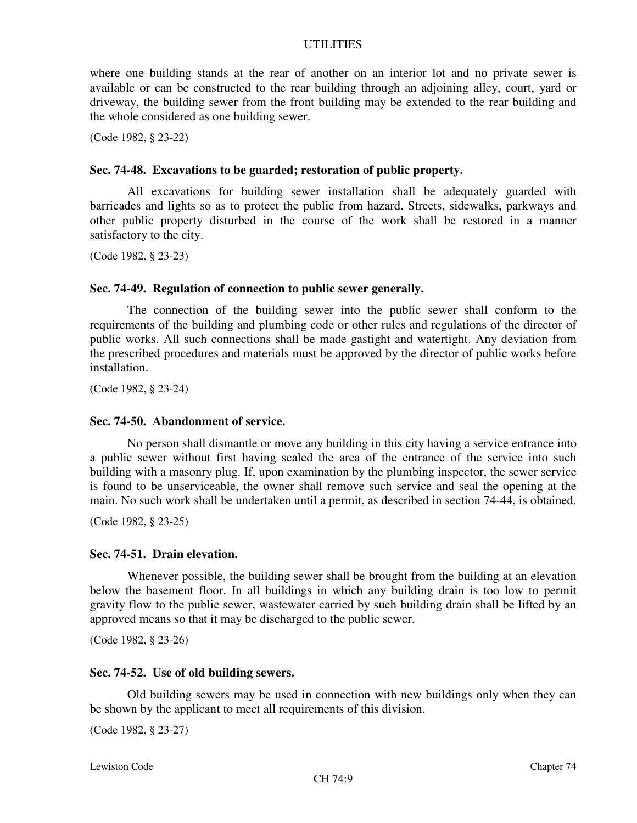where one building stands at the rear of another on an interior lot and no private sewer is available or can be constructed to the rear building through an adjoining alley, court, yard or driveway, the building sewer from the front building may be extended to the rear building and the whole considered as one building sewer.

(Code 1982, § 23-22)

#### **Sec. 74-48. Excavations to be guarded; restoration of public property.**

All excavations for building sewer installation shall be adequately guarded with barricades and lights so as to protect the public from hazard. Streets, sidewalks, parkways and other public property disturbed in the course of the work shall be restored in a manner satisfactory to the city.

(Code 1982, § 23-23)

#### **Sec. 74-49. Regulation of connection to public sewer generally.**

The connection of the building sewer into the public sewer shall conform to the requirements of the building and plumbing code or other rules and regulations of the director of public works. All such connections shall be made gastight and watertight. Any deviation from the prescribed procedures and materials must be approved by the director of public works before installation.

(Code 1982, § 23-24)

#### **Sec. 74-50. Abandonment of service.**

No person shall dismantle or move any building in this city having a service entrance into a public sewer without first having sealed the area of the entrance of the service into such building with a masonry plug. If, upon examination by the plumbing inspector, the sewer service is found to be unserviceable, the owner shall remove such service and seal the opening at the main. No such work shall be undertaken until a permit, as described in section 74-44, is obtained.

(Code 1982, § 23-25)

#### **Sec. 74-51. Drain elevation.**

Whenever possible, the building sewer shall be brought from the building at an elevation below the basement floor. In all buildings in which any building drain is too low to permit gravity flow to the public sewer, wastewater carried by such building drain shall be lifted by an approved means so that it may be discharged to the public sewer.

(Code 1982, § 23-26)

#### **Sec. 74-52. Use of old building sewers.**

Old building sewers may be used in connection with new buildings only when they can be shown by the applicant to meet all requirements of this division.

(Code 1982, § 23-27)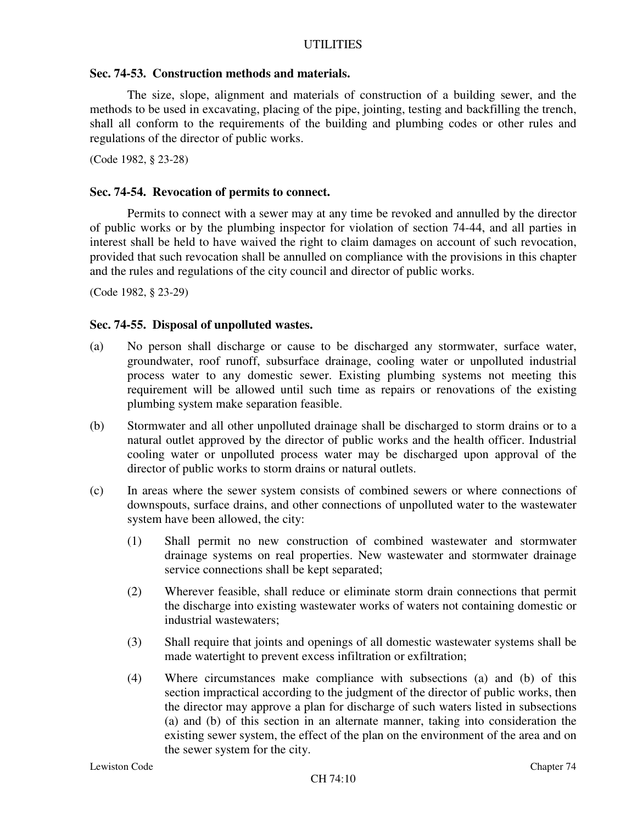# **Sec. 74-53. Construction methods and materials.**

The size, slope, alignment and materials of construction of a building sewer, and the methods to be used in excavating, placing of the pipe, jointing, testing and backfilling the trench, shall all conform to the requirements of the building and plumbing codes or other rules and regulations of the director of public works.

(Code 1982, § 23-28)

### **Sec. 74-54. Revocation of permits to connect.**

Permits to connect with a sewer may at any time be revoked and annulled by the director of public works or by the plumbing inspector for violation of section 74-44, and all parties in interest shall be held to have waived the right to claim damages on account of such revocation, provided that such revocation shall be annulled on compliance with the provisions in this chapter and the rules and regulations of the city council and director of public works.

(Code 1982, § 23-29)

### **Sec. 74-55. Disposal of unpolluted wastes.**

- (a) No person shall discharge or cause to be discharged any stormwater, surface water, groundwater, roof runoff, subsurface drainage, cooling water or unpolluted industrial process water to any domestic sewer. Existing plumbing systems not meeting this requirement will be allowed until such time as repairs or renovations of the existing plumbing system make separation feasible.
- (b) Stormwater and all other unpolluted drainage shall be discharged to storm drains or to a natural outlet approved by the director of public works and the health officer. Industrial cooling water or unpolluted process water may be discharged upon approval of the director of public works to storm drains or natural outlets.
- (c) In areas where the sewer system consists of combined sewers or where connections of downspouts, surface drains, and other connections of unpolluted water to the wastewater system have been allowed, the city:
	- (1) Shall permit no new construction of combined wastewater and stormwater drainage systems on real properties. New wastewater and stormwater drainage service connections shall be kept separated;
	- (2) Wherever feasible, shall reduce or eliminate storm drain connections that permit the discharge into existing wastewater works of waters not containing domestic or industrial wastewaters;
	- (3) Shall require that joints and openings of all domestic wastewater systems shall be made watertight to prevent excess infiltration or exfiltration;
	- (4) Where circumstances make compliance with subsections (a) and (b) of this section impractical according to the judgment of the director of public works, then the director may approve a plan for discharge of such waters listed in subsections (a) and (b) of this section in an alternate manner, taking into consideration the existing sewer system, the effect of the plan on the environment of the area and on the sewer system for the city.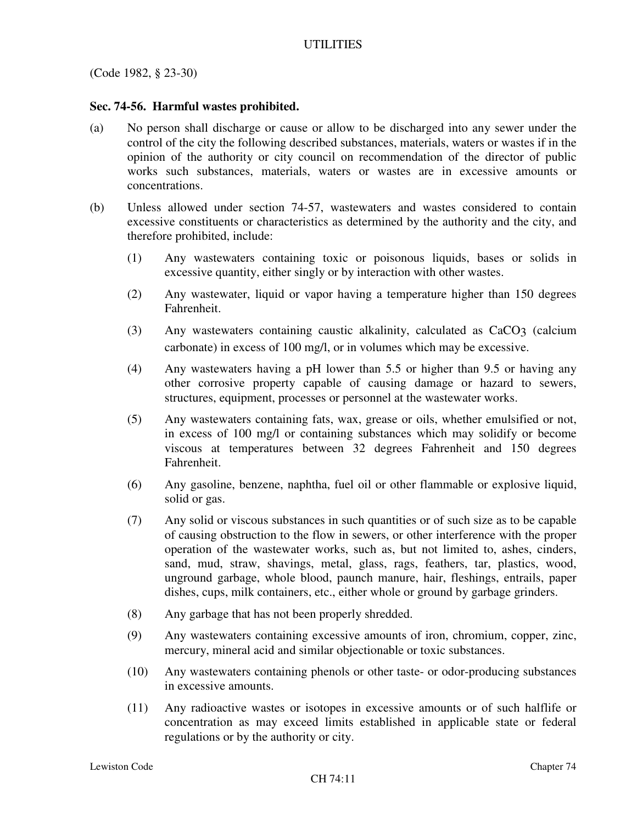(Code 1982, § 23-30)

# **Sec. 74-56. Harmful wastes prohibited.**

- (a) No person shall discharge or cause or allow to be discharged into any sewer under the control of the city the following described substances, materials, waters or wastes if in the opinion of the authority or city council on recommendation of the director of public works such substances, materials, waters or wastes are in excessive amounts or concentrations.
- (b) Unless allowed under section 74-57, wastewaters and wastes considered to contain excessive constituents or characteristics as determined by the authority and the city, and therefore prohibited, include:
	- (1) Any wastewaters containing toxic or poisonous liquids, bases or solids in excessive quantity, either singly or by interaction with other wastes.
	- (2) Any wastewater, liquid or vapor having a temperature higher than 150 degrees Fahrenheit.
	- (3) Any wastewaters containing caustic alkalinity, calculated as CaCO3 (calcium carbonate) in excess of 100 mg/l, or in volumes which may be excessive.
	- (4) Any wastewaters having a pH lower than 5.5 or higher than 9.5 or having any other corrosive property capable of causing damage or hazard to sewers, structures, equipment, processes or personnel at the wastewater works.
	- (5) Any wastewaters containing fats, wax, grease or oils, whether emulsified or not, in excess of 100 mg/l or containing substances which may solidify or become viscous at temperatures between 32 degrees Fahrenheit and 150 degrees Fahrenheit.
	- (6) Any gasoline, benzene, naphtha, fuel oil or other flammable or explosive liquid, solid or gas.
	- (7) Any solid or viscous substances in such quantities or of such size as to be capable of causing obstruction to the flow in sewers, or other interference with the proper operation of the wastewater works, such as, but not limited to, ashes, cinders, sand, mud, straw, shavings, metal, glass, rags, feathers, tar, plastics, wood, unground garbage, whole blood, paunch manure, hair, fleshings, entrails, paper dishes, cups, milk containers, etc., either whole or ground by garbage grinders.
	- (8) Any garbage that has not been properly shredded.
	- (9) Any wastewaters containing excessive amounts of iron, chromium, copper, zinc, mercury, mineral acid and similar objectionable or toxic substances.
	- (10) Any wastewaters containing phenols or other taste- or odor-producing substances in excessive amounts.
	- (11) Any radioactive wastes or isotopes in excessive amounts or of such halflife or concentration as may exceed limits established in applicable state or federal regulations or by the authority or city.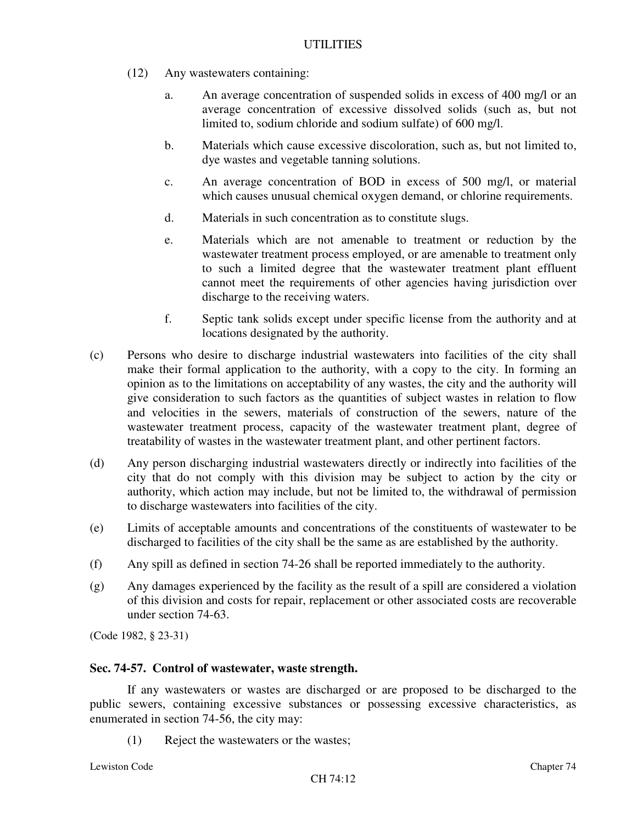- (12) Any wastewaters containing:
	- a. An average concentration of suspended solids in excess of 400 mg/l or an average concentration of excessive dissolved solids (such as, but not limited to, sodium chloride and sodium sulfate) of 600 mg/l.
	- b. Materials which cause excessive discoloration, such as, but not limited to, dye wastes and vegetable tanning solutions.
	- c. An average concentration of BOD in excess of 500 mg/l, or material which causes unusual chemical oxygen demand, or chlorine requirements.
	- d. Materials in such concentration as to constitute slugs.
	- e. Materials which are not amenable to treatment or reduction by the wastewater treatment process employed, or are amenable to treatment only to such a limited degree that the wastewater treatment plant effluent cannot meet the requirements of other agencies having jurisdiction over discharge to the receiving waters.
	- f. Septic tank solids except under specific license from the authority and at locations designated by the authority.
- (c) Persons who desire to discharge industrial wastewaters into facilities of the city shall make their formal application to the authority, with a copy to the city. In forming an opinion as to the limitations on acceptability of any wastes, the city and the authority will give consideration to such factors as the quantities of subject wastes in relation to flow and velocities in the sewers, materials of construction of the sewers, nature of the wastewater treatment process, capacity of the wastewater treatment plant, degree of treatability of wastes in the wastewater treatment plant, and other pertinent factors.
- (d) Any person discharging industrial wastewaters directly or indirectly into facilities of the city that do not comply with this division may be subject to action by the city or authority, which action may include, but not be limited to, the withdrawal of permission to discharge wastewaters into facilities of the city.
- (e) Limits of acceptable amounts and concentrations of the constituents of wastewater to be discharged to facilities of the city shall be the same as are established by the authority.
- (f) Any spill as defined in section 74-26 shall be reported immediately to the authority.
- (g) Any damages experienced by the facility as the result of a spill are considered a violation of this division and costs for repair, replacement or other associated costs are recoverable under section 74-63.

(Code 1982, § 23-31)

#### **Sec. 74-57. Control of wastewater, waste strength.**

If any wastewaters or wastes are discharged or are proposed to be discharged to the public sewers, containing excessive substances or possessing excessive characteristics, as enumerated in section 74-56, the city may:

(1) Reject the wastewaters or the wastes;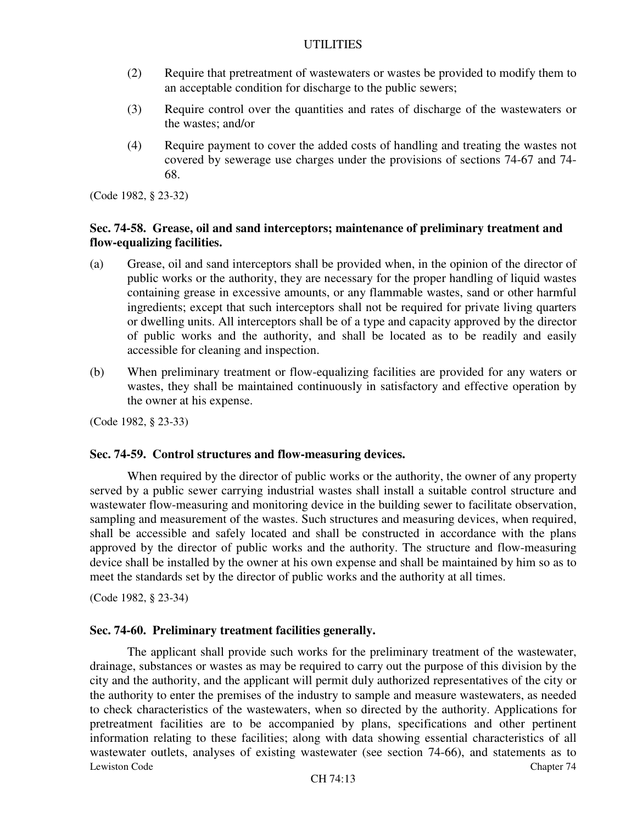- (2) Require that pretreatment of wastewaters or wastes be provided to modify them to an acceptable condition for discharge to the public sewers;
- (3) Require control over the quantities and rates of discharge of the wastewaters or the wastes; and/or
- (4) Require payment to cover the added costs of handling and treating the wastes not covered by sewerage use charges under the provisions of sections 74-67 and 74- 68.

(Code 1982, § 23-32)

# **Sec. 74-58. Grease, oil and sand interceptors; maintenance of preliminary treatment and flow-equalizing facilities.**

- (a) Grease, oil and sand interceptors shall be provided when, in the opinion of the director of public works or the authority, they are necessary for the proper handling of liquid wastes containing grease in excessive amounts, or any flammable wastes, sand or other harmful ingredients; except that such interceptors shall not be required for private living quarters or dwelling units. All interceptors shall be of a type and capacity approved by the director of public works and the authority, and shall be located as to be readily and easily accessible for cleaning and inspection.
- (b) When preliminary treatment or flow-equalizing facilities are provided for any waters or wastes, they shall be maintained continuously in satisfactory and effective operation by the owner at his expense.

(Code 1982, § 23-33)

#### **Sec. 74-59. Control structures and flow-measuring devices.**

When required by the director of public works or the authority, the owner of any property served by a public sewer carrying industrial wastes shall install a suitable control structure and wastewater flow-measuring and monitoring device in the building sewer to facilitate observation, sampling and measurement of the wastes. Such structures and measuring devices, when required, shall be accessible and safely located and shall be constructed in accordance with the plans approved by the director of public works and the authority. The structure and flow-measuring device shall be installed by the owner at his own expense and shall be maintained by him so as to meet the standards set by the director of public works and the authority at all times.

(Code 1982, § 23-34)

#### **Sec. 74-60. Preliminary treatment facilities generally.**

Lewiston Code Chapter 74 The applicant shall provide such works for the preliminary treatment of the wastewater, drainage, substances or wastes as may be required to carry out the purpose of this division by the city and the authority, and the applicant will permit duly authorized representatives of the city or the authority to enter the premises of the industry to sample and measure wastewaters, as needed to check characteristics of the wastewaters, when so directed by the authority. Applications for pretreatment facilities are to be accompanied by plans, specifications and other pertinent information relating to these facilities; along with data showing essential characteristics of all wastewater outlets, analyses of existing wastewater (see section 74-66), and statements as to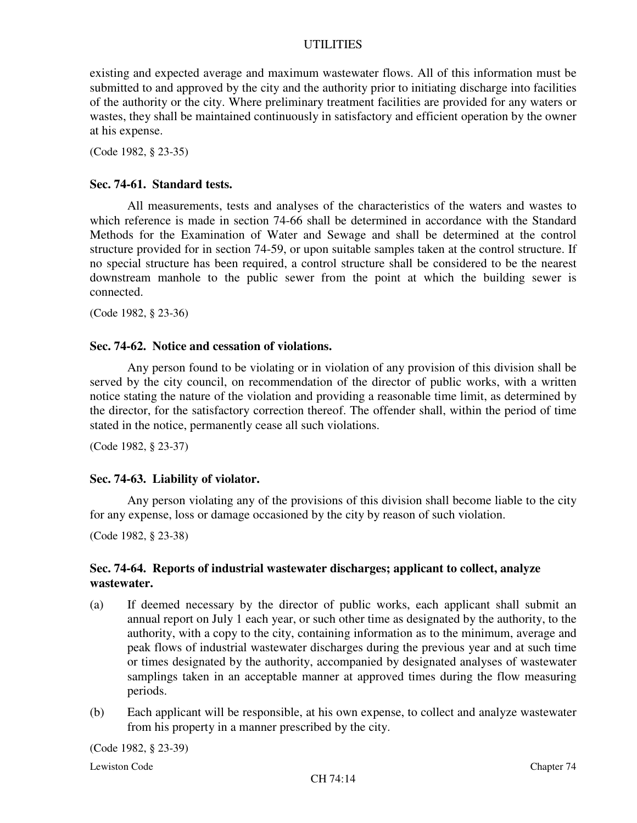existing and expected average and maximum wastewater flows. All of this information must be submitted to and approved by the city and the authority prior to initiating discharge into facilities of the authority or the city. Where preliminary treatment facilities are provided for any waters or wastes, they shall be maintained continuously in satisfactory and efficient operation by the owner at his expense.

(Code 1982, § 23-35)

#### **Sec. 74-61. Standard tests.**

All measurements, tests and analyses of the characteristics of the waters and wastes to which reference is made in section 74-66 shall be determined in accordance with the Standard Methods for the Examination of Water and Sewage and shall be determined at the control structure provided for in section 74-59, or upon suitable samples taken at the control structure. If no special structure has been required, a control structure shall be considered to be the nearest downstream manhole to the public sewer from the point at which the building sewer is connected.

(Code 1982, § 23-36)

#### **Sec. 74-62. Notice and cessation of violations.**

Any person found to be violating or in violation of any provision of this division shall be served by the city council, on recommendation of the director of public works, with a written notice stating the nature of the violation and providing a reasonable time limit, as determined by the director, for the satisfactory correction thereof. The offender shall, within the period of time stated in the notice, permanently cease all such violations.

(Code 1982, § 23-37)

#### **Sec. 74-63. Liability of violator.**

Any person violating any of the provisions of this division shall become liable to the city for any expense, loss or damage occasioned by the city by reason of such violation.

(Code 1982, § 23-38)

### **Sec. 74-64. Reports of industrial wastewater discharges; applicant to collect, analyze wastewater.**

- (a) If deemed necessary by the director of public works, each applicant shall submit an annual report on July 1 each year, or such other time as designated by the authority, to the authority, with a copy to the city, containing information as to the minimum, average and peak flows of industrial wastewater discharges during the previous year and at such time or times designated by the authority, accompanied by designated analyses of wastewater samplings taken in an acceptable manner at approved times during the flow measuring periods.
- (b) Each applicant will be responsible, at his own expense, to collect and analyze wastewater from his property in a manner prescribed by the city.

(Code 1982, § 23-39)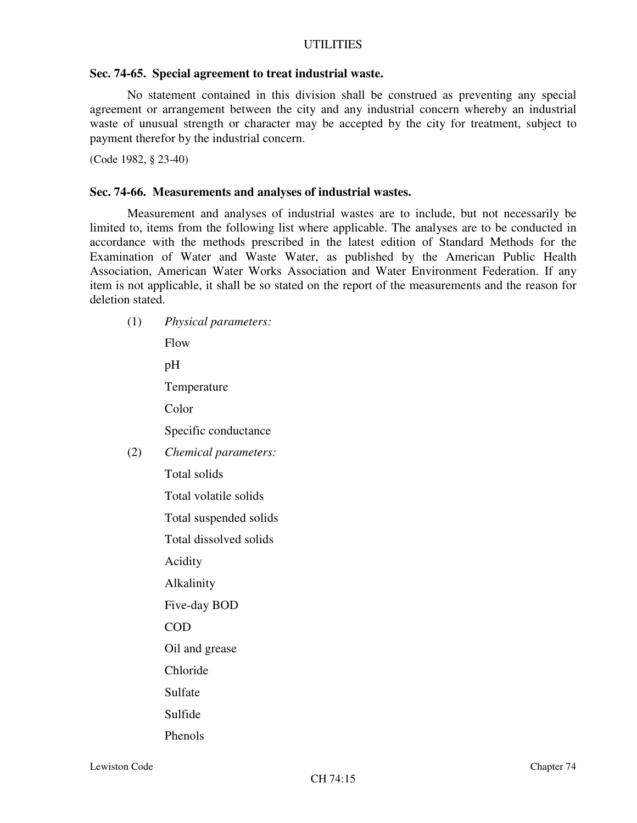### **Sec. 74-65. Special agreement to treat industrial waste.**

No statement contained in this division shall be construed as preventing any special agreement or arrangement between the city and any industrial concern whereby an industrial waste of unusual strength or character may be accepted by the city for treatment, subject to payment therefor by the industrial concern.

(Code 1982, § 23-40)

## **Sec. 74-66. Measurements and analyses of industrial wastes.**

Measurement and analyses of industrial wastes are to include, but not necessarily be limited to, items from the following list where applicable. The analyses are to be conducted in accordance with the methods prescribed in the latest edition of Standard Methods for the Examination of Water and Waste Water, as published by the American Public Health Association, American Water Works Association and Water Environment Federation. If any item is not applicable, it shall be so stated on the report of the measurements and the reason for deletion stated.

(1) *Physical parameters:* Flow pH Temperature Color Specific conductance (2) *Chemical parameters:* Total solids Total volatile solids Total suspended solids Total dissolved solids Acidity Alkalinity Five-day BOD COD Oil and grease Chloride Sulfate Sulfide Phenols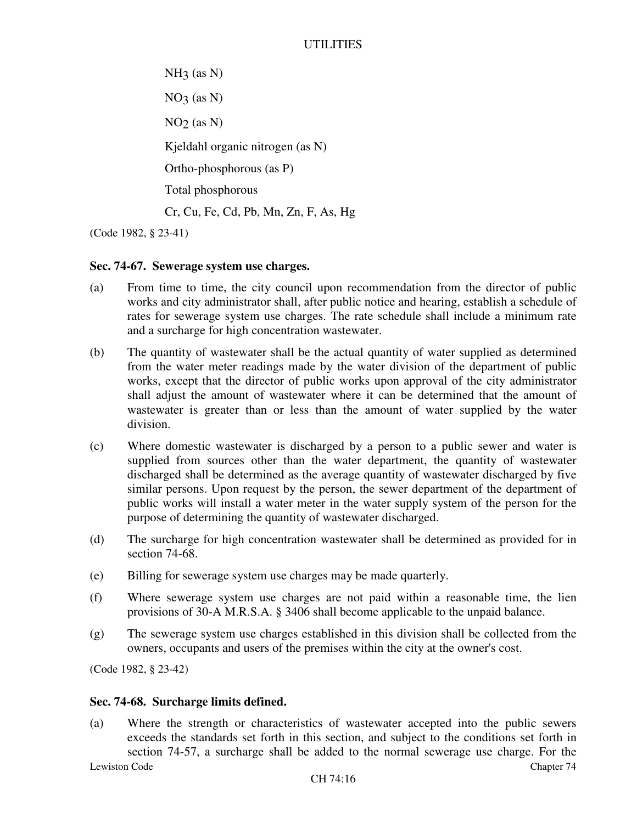$NH<sub>3</sub>$  (as N)  $NO<sub>3</sub>$  (as N)  $NO<sub>2</sub>$  (as N) Kjeldahl organic nitrogen (as N) Ortho-phosphorous (as P) Total phosphorous Cr, Cu, Fe, Cd, Pb, Mn, Zn, F, As, Hg

(Code 1982, § 23-41)

### **Sec. 74-67. Sewerage system use charges.**

- (a) From time to time, the city council upon recommendation from the director of public works and city administrator shall, after public notice and hearing, establish a schedule of rates for sewerage system use charges. The rate schedule shall include a minimum rate and a surcharge for high concentration wastewater.
- (b) The quantity of wastewater shall be the actual quantity of water supplied as determined from the water meter readings made by the water division of the department of public works, except that the director of public works upon approval of the city administrator shall adjust the amount of wastewater where it can be determined that the amount of wastewater is greater than or less than the amount of water supplied by the water division.
- (c) Where domestic wastewater is discharged by a person to a public sewer and water is supplied from sources other than the water department, the quantity of wastewater discharged shall be determined as the average quantity of wastewater discharged by five similar persons. Upon request by the person, the sewer department of the department of public works will install a water meter in the water supply system of the person for the purpose of determining the quantity of wastewater discharged.
- (d) The surcharge for high concentration wastewater shall be determined as provided for in section 74-68.
- (e) Billing for sewerage system use charges may be made quarterly.
- (f) Where sewerage system use charges are not paid within a reasonable time, the lien provisions of 30-A M.R.S.A. § 3406 shall become applicable to the unpaid balance.
- (g) The sewerage system use charges established in this division shall be collected from the owners, occupants and users of the premises within the city at the owner's cost.

(Code 1982, § 23-42)

#### **Sec. 74-68. Surcharge limits defined.**

Lewiston Code Chapter 74 (a) Where the strength or characteristics of wastewater accepted into the public sewers exceeds the standards set forth in this section, and subject to the conditions set forth in section 74-57, a surcharge shall be added to the normal sewerage use charge. For the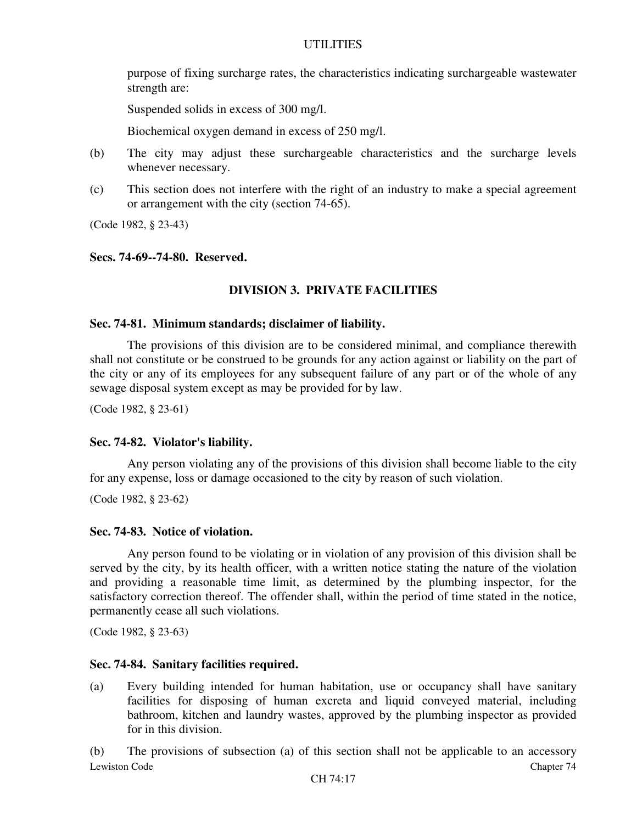purpose of fixing surcharge rates, the characteristics indicating surchargeable wastewater strength are:

Suspended solids in excess of 300 mg/l.

Biochemical oxygen demand in excess of 250 mg/l.

- (b) The city may adjust these surchargeable characteristics and the surcharge levels whenever necessary.
- (c) This section does not interfere with the right of an industry to make a special agreement or arrangement with the city (section 74-65).

(Code 1982, § 23-43)

#### **Secs. 74-69--74-80. Reserved.**

### **DIVISION 3. PRIVATE FACILITIES**

#### **Sec. 74-81. Minimum standards; disclaimer of liability.**

The provisions of this division are to be considered minimal, and compliance therewith shall not constitute or be construed to be grounds for any action against or liability on the part of the city or any of its employees for any subsequent failure of any part or of the whole of any sewage disposal system except as may be provided for by law.

(Code 1982, § 23-61)

#### **Sec. 74-82. Violator's liability.**

Any person violating any of the provisions of this division shall become liable to the city for any expense, loss or damage occasioned to the city by reason of such violation.

(Code 1982, § 23-62)

### **Sec. 74-83. Notice of violation.**

Any person found to be violating or in violation of any provision of this division shall be served by the city, by its health officer, with a written notice stating the nature of the violation and providing a reasonable time limit, as determined by the plumbing inspector, for the satisfactory correction thereof. The offender shall, within the period of time stated in the notice, permanently cease all such violations.

(Code 1982, § 23-63)

### **Sec. 74-84. Sanitary facilities required.**

(a) Every building intended for human habitation, use or occupancy shall have sanitary facilities for disposing of human excreta and liquid conveyed material, including bathroom, kitchen and laundry wastes, approved by the plumbing inspector as provided for in this division.

Lewiston Code Chapter 74 (b) The provisions of subsection (a) of this section shall not be applicable to an accessory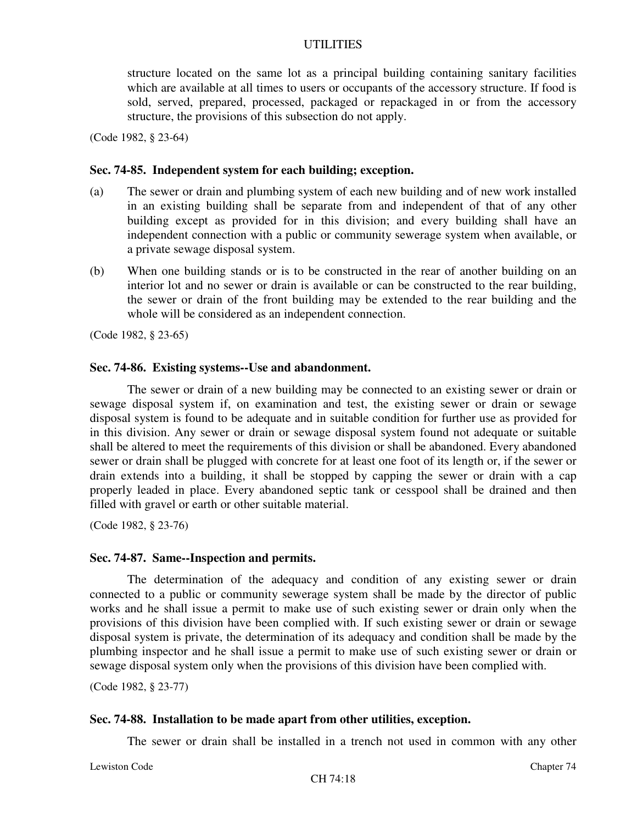structure located on the same lot as a principal building containing sanitary facilities which are available at all times to users or occupants of the accessory structure. If food is sold, served, prepared, processed, packaged or repackaged in or from the accessory structure, the provisions of this subsection do not apply.

(Code 1982, § 23-64)

#### **Sec. 74-85. Independent system for each building; exception.**

- (a) The sewer or drain and plumbing system of each new building and of new work installed in an existing building shall be separate from and independent of that of any other building except as provided for in this division; and every building shall have an independent connection with a public or community sewerage system when available, or a private sewage disposal system.
- (b) When one building stands or is to be constructed in the rear of another building on an interior lot and no sewer or drain is available or can be constructed to the rear building, the sewer or drain of the front building may be extended to the rear building and the whole will be considered as an independent connection.

(Code 1982, § 23-65)

#### **Sec. 74-86. Existing systems--Use and abandonment.**

The sewer or drain of a new building may be connected to an existing sewer or drain or sewage disposal system if, on examination and test, the existing sewer or drain or sewage disposal system is found to be adequate and in suitable condition for further use as provided for in this division. Any sewer or drain or sewage disposal system found not adequate or suitable shall be altered to meet the requirements of this division or shall be abandoned. Every abandoned sewer or drain shall be plugged with concrete for at least one foot of its length or, if the sewer or drain extends into a building, it shall be stopped by capping the sewer or drain with a cap properly leaded in place. Every abandoned septic tank or cesspool shall be drained and then filled with gravel or earth or other suitable material.

(Code 1982, § 23-76)

#### **Sec. 74-87. Same--Inspection and permits.**

The determination of the adequacy and condition of any existing sewer or drain connected to a public or community sewerage system shall be made by the director of public works and he shall issue a permit to make use of such existing sewer or drain only when the provisions of this division have been complied with. If such existing sewer or drain or sewage disposal system is private, the determination of its adequacy and condition shall be made by the plumbing inspector and he shall issue a permit to make use of such existing sewer or drain or sewage disposal system only when the provisions of this division have been complied with.

(Code 1982, § 23-77)

### **Sec. 74-88. Installation to be made apart from other utilities, exception.**

The sewer or drain shall be installed in a trench not used in common with any other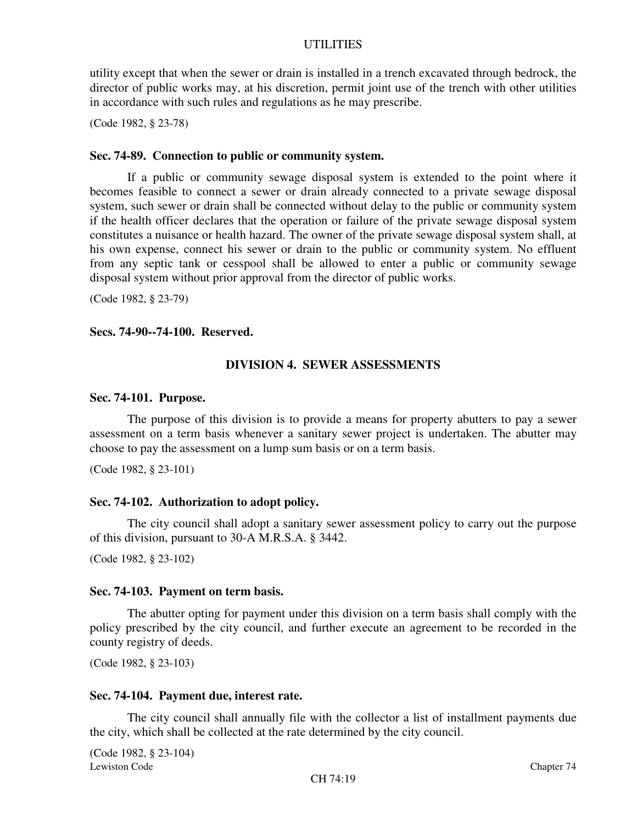utility except that when the sewer or drain is installed in a trench excavated through bedrock, the director of public works may, at his discretion, permit joint use of the trench with other utilities in accordance with such rules and regulations as he may prescribe.

(Code 1982, § 23-78)

### **Sec. 74-89. Connection to public or community system.**

If a public or community sewage disposal system is extended to the point where it becomes feasible to connect a sewer or drain already connected to a private sewage disposal system, such sewer or drain shall be connected without delay to the public or community system if the health officer declares that the operation or failure of the private sewage disposal system constitutes a nuisance or health hazard. The owner of the private sewage disposal system shall, at his own expense, connect his sewer or drain to the public or community system. No effluent from any septic tank or cesspool shall be allowed to enter a public or community sewage disposal system without prior approval from the director of public works.

(Code 1982, § 23-79)

#### **Secs. 74-90--74-100. Reserved.**

### **DIVISION 4. SEWER ASSESSMENTS**

#### **Sec. 74-101. Purpose.**

The purpose of this division is to provide a means for property abutters to pay a sewer assessment on a term basis whenever a sanitary sewer project is undertaken. The abutter may choose to pay the assessment on a lump sum basis or on a term basis.

(Code 1982, § 23-101)

#### **Sec. 74-102. Authorization to adopt policy.**

The city council shall adopt a sanitary sewer assessment policy to carry out the purpose of this division, pursuant to 30-A M.R.S.A. § 3442.

(Code 1982, § 23-102)

#### **Sec. 74-103. Payment on term basis.**

The abutter opting for payment under this division on a term basis shall comply with the policy prescribed by the city council, and further execute an agreement to be recorded in the county registry of deeds.

(Code 1982, § 23-103)

### **Sec. 74-104. Payment due, interest rate.**

The city council shall annually file with the collector a list of installment payments due the city, which shall be collected at the rate determined by the city council.

Lewiston Code Chapter 74 (Code 1982, § 23-104)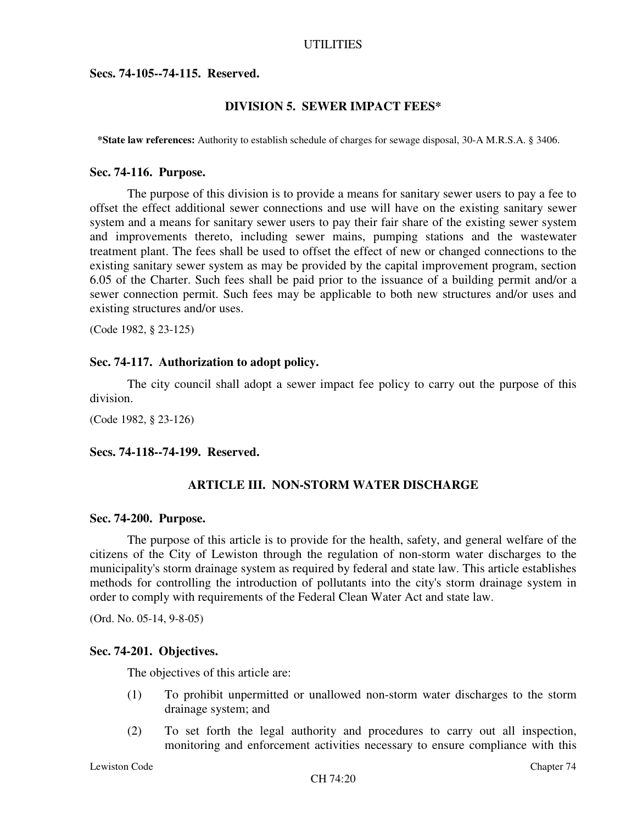**Secs. 74-105--74-115. Reserved.**

### **DIVISION 5. SEWER IMPACT FEES\***

**\*State law references:** Authority to establish schedule of charges for sewage disposal, 30-A M.R.S.A. § 3406.

#### **Sec. 74-116. Purpose.**

The purpose of this division is to provide a means for sanitary sewer users to pay a fee to offset the effect additional sewer connections and use will have on the existing sanitary sewer system and a means for sanitary sewer users to pay their fair share of the existing sewer system and improvements thereto, including sewer mains, pumping stations and the wastewater treatment plant. The fees shall be used to offset the effect of new or changed connections to the existing sanitary sewer system as may be provided by the capital improvement program, section 6.05 of the Charter. Such fees shall be paid prior to the issuance of a building permit and/or a sewer connection permit. Such fees may be applicable to both new structures and/or uses and existing structures and/or uses.

(Code 1982, § 23-125)

#### **Sec. 74-117. Authorization to adopt policy.**

The city council shall adopt a sewer impact fee policy to carry out the purpose of this division.

(Code 1982, § 23-126)

**Secs. 74-118--74-199. Reserved.**

#### **ARTICLE III. NON-STORM WATER DISCHARGE**

#### **Sec. 74-200. Purpose.**

The purpose of this article is to provide for the health, safety, and general welfare of the citizens of the City of Lewiston through the regulation of non-storm water discharges to the municipality's storm drainage system as required by federal and state law. This article establishes methods for controlling the introduction of pollutants into the city's storm drainage system in order to comply with requirements of the Federal Clean Water Act and state law.

(Ord. No. 05-14, 9-8-05)

### **Sec. 74-201. Objectives.**

The objectives of this article are:

- (1) To prohibit unpermitted or unallowed non-storm water discharges to the storm drainage system; and
- (2) To set forth the legal authority and procedures to carry out all inspection, monitoring and enforcement activities necessary to ensure compliance with this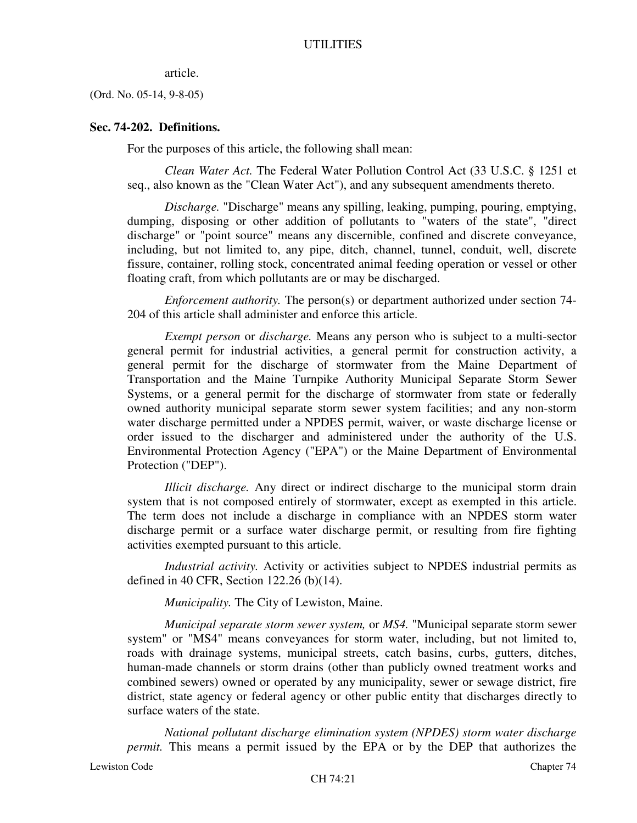#### article.

(Ord. No. 05-14, 9-8-05)

### **Sec. 74-202. Definitions.**

For the purposes of this article, the following shall mean:

*Clean Water Act.* The Federal Water Pollution Control Act (33 U.S.C. § 1251 et seq., also known as the "Clean Water Act"), and any subsequent amendments thereto.

*Discharge.* "Discharge" means any spilling, leaking, pumping, pouring, emptying, dumping, disposing or other addition of pollutants to "waters of the state", "direct discharge" or "point source" means any discernible, confined and discrete conveyance, including, but not limited to, any pipe, ditch, channel, tunnel, conduit, well, discrete fissure, container, rolling stock, concentrated animal feeding operation or vessel or other floating craft, from which pollutants are or may be discharged.

*Enforcement authority.* The person(s) or department authorized under section 74- 204 of this article shall administer and enforce this article.

*Exempt person* or *discharge.* Means any person who is subject to a multi-sector general permit for industrial activities, a general permit for construction activity, a general permit for the discharge of stormwater from the Maine Department of Transportation and the Maine Turnpike Authority Municipal Separate Storm Sewer Systems, or a general permit for the discharge of stormwater from state or federally owned authority municipal separate storm sewer system facilities; and any non-storm water discharge permitted under a NPDES permit, waiver, or waste discharge license or order issued to the discharger and administered under the authority of the U.S. Environmental Protection Agency ("EPA") or the Maine Department of Environmental Protection ("DEP").

*Illicit discharge.* Any direct or indirect discharge to the municipal storm drain system that is not composed entirely of stormwater, except as exempted in this article. The term does not include a discharge in compliance with an NPDES storm water discharge permit or a surface water discharge permit, or resulting from fire fighting activities exempted pursuant to this article.

*Industrial activity.* Activity or activities subject to NPDES industrial permits as defined in 40 CFR, Section 122.26 (b)(14).

*Municipality.* The City of Lewiston, Maine.

*Municipal separate storm sewer system,* or *MS4.* "Municipal separate storm sewer system" or "MS4" means conveyances for storm water, including, but not limited to, roads with drainage systems, municipal streets, catch basins, curbs, gutters, ditches, human-made channels or storm drains (other than publicly owned treatment works and combined sewers) owned or operated by any municipality, sewer or sewage district, fire district, state agency or federal agency or other public entity that discharges directly to surface waters of the state.

*National pollutant discharge elimination system (NPDES) storm water discharge permit.* This means a permit issued by the EPA or by the DEP that authorizes the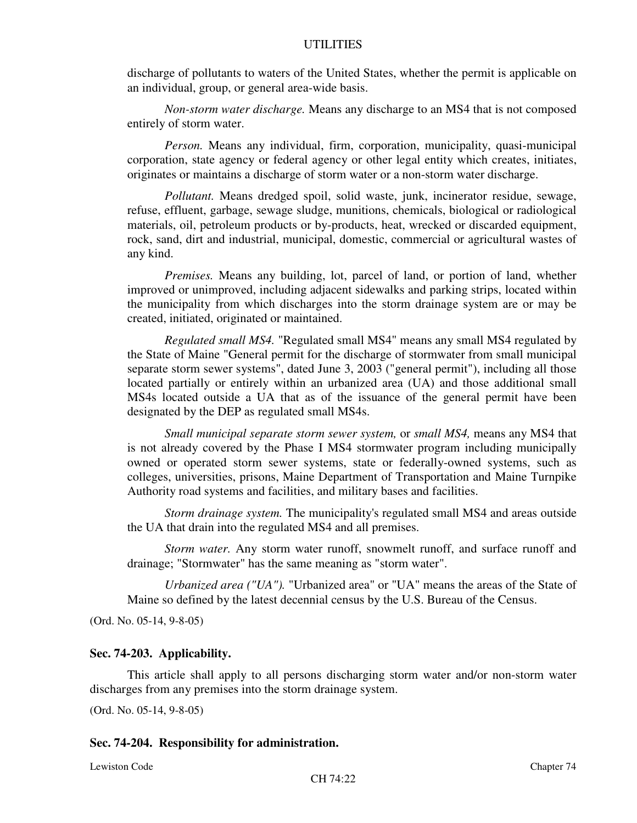discharge of pollutants to waters of the United States, whether the permit is applicable on an individual, group, or general area-wide basis.

*Non-storm water discharge.* Means any discharge to an MS4 that is not composed entirely of storm water.

*Person.* Means any individual, firm, corporation, municipality, quasi-municipal corporation, state agency or federal agency or other legal entity which creates, initiates, originates or maintains a discharge of storm water or a non-storm water discharge.

*Pollutant.* Means dredged spoil, solid waste, junk, incinerator residue, sewage, refuse, effluent, garbage, sewage sludge, munitions, chemicals, biological or radiological materials, oil, petroleum products or by-products, heat, wrecked or discarded equipment, rock, sand, dirt and industrial, municipal, domestic, commercial or agricultural wastes of any kind.

*Premises.* Means any building, lot, parcel of land, or portion of land, whether improved or unimproved, including adjacent sidewalks and parking strips, located within the municipality from which discharges into the storm drainage system are or may be created, initiated, originated or maintained.

*Regulated small MS4.* "Regulated small MS4" means any small MS4 regulated by the State of Maine "General permit for the discharge of stormwater from small municipal separate storm sewer systems", dated June 3, 2003 ("general permit"), including all those located partially or entirely within an urbanized area (UA) and those additional small MS4s located outside a UA that as of the issuance of the general permit have been designated by the DEP as regulated small MS4s.

*Small municipal separate storm sewer system,* or *small MS4,* means any MS4 that is not already covered by the Phase I MS4 stormwater program including municipally owned or operated storm sewer systems, state or federally-owned systems, such as colleges, universities, prisons, Maine Department of Transportation and Maine Turnpike Authority road systems and facilities, and military bases and facilities.

*Storm drainage system.* The municipality's regulated small MS4 and areas outside the UA that drain into the regulated MS4 and all premises.

*Storm water.* Any storm water runoff, snowmelt runoff, and surface runoff and drainage; "Stormwater" has the same meaning as "storm water".

*Urbanized area ("UA").* "Urbanized area" or "UA" means the areas of the State of Maine so defined by the latest decennial census by the U.S. Bureau of the Census.

(Ord. No. 05-14, 9-8-05)

### **Sec. 74-203. Applicability.**

This article shall apply to all persons discharging storm water and/or non-storm water discharges from any premises into the storm drainage system.

(Ord. No. 05-14, 9-8-05)

#### **Sec. 74-204. Responsibility for administration.**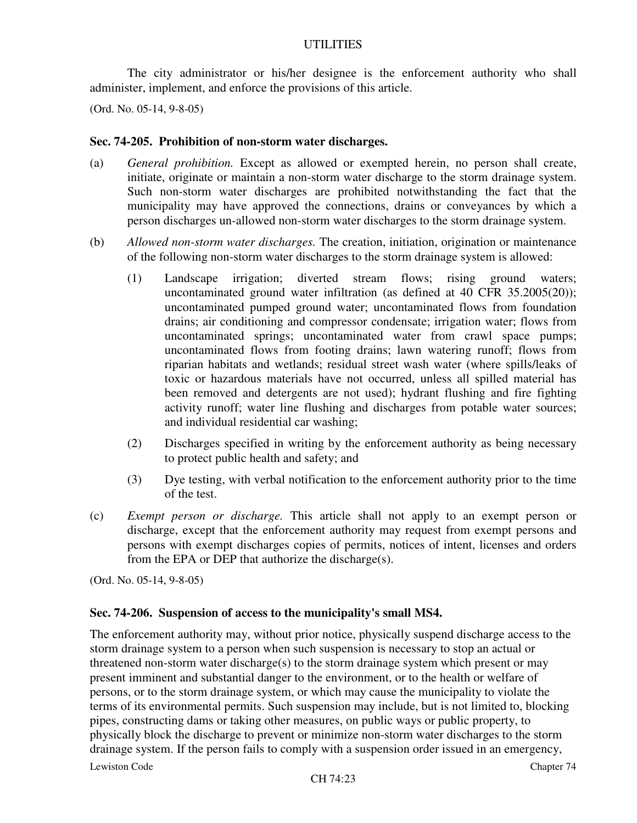The city administrator or his/her designee is the enforcement authority who shall administer, implement, and enforce the provisions of this article.

(Ord. No. 05-14, 9-8-05)

### **Sec. 74-205. Prohibition of non-storm water discharges.**

- (a) *General prohibition.* Except as allowed or exempted herein, no person shall create, initiate, originate or maintain a non-storm water discharge to the storm drainage system. Such non-storm water discharges are prohibited notwithstanding the fact that the municipality may have approved the connections, drains or conveyances by which a person discharges un-allowed non-storm water discharges to the storm drainage system.
- (b) *Allowed non-storm water discharges.* The creation, initiation, origination or maintenance of the following non-storm water discharges to the storm drainage system is allowed:
	- (1) Landscape irrigation; diverted stream flows; rising ground waters; uncontaminated ground water infiltration (as defined at 40 CFR 35.2005(20)); uncontaminated pumped ground water; uncontaminated flows from foundation drains; air conditioning and compressor condensate; irrigation water; flows from uncontaminated springs; uncontaminated water from crawl space pumps; uncontaminated flows from footing drains; lawn watering runoff; flows from riparian habitats and wetlands; residual street wash water (where spills/leaks of toxic or hazardous materials have not occurred, unless all spilled material has been removed and detergents are not used); hydrant flushing and fire fighting activity runoff; water line flushing and discharges from potable water sources; and individual residential car washing;
	- (2) Discharges specified in writing by the enforcement authority as being necessary to protect public health and safety; and
	- (3) Dye testing, with verbal notification to the enforcement authority prior to the time of the test.
- (c) *Exempt person or discharge.* This article shall not apply to an exempt person or discharge, except that the enforcement authority may request from exempt persons and persons with exempt discharges copies of permits, notices of intent, licenses and orders from the EPA or DEP that authorize the discharge(s).

(Ord. No. 05-14, 9-8-05)

# **Sec. 74-206. Suspension of access to the municipality's small MS4.**

The enforcement authority may, without prior notice, physically suspend discharge access to the storm drainage system to a person when such suspension is necessary to stop an actual or threatened non-storm water discharge(s) to the storm drainage system which present or may present imminent and substantial danger to the environment, or to the health or welfare of persons, or to the storm drainage system, or which may cause the municipality to violate the terms of its environmental permits. Such suspension may include, but is not limited to, blocking pipes, constructing dams or taking other measures, on public ways or public property, to physically block the discharge to prevent or minimize non-storm water discharges to the storm drainage system. If the person fails to comply with a suspension order issued in an emergency,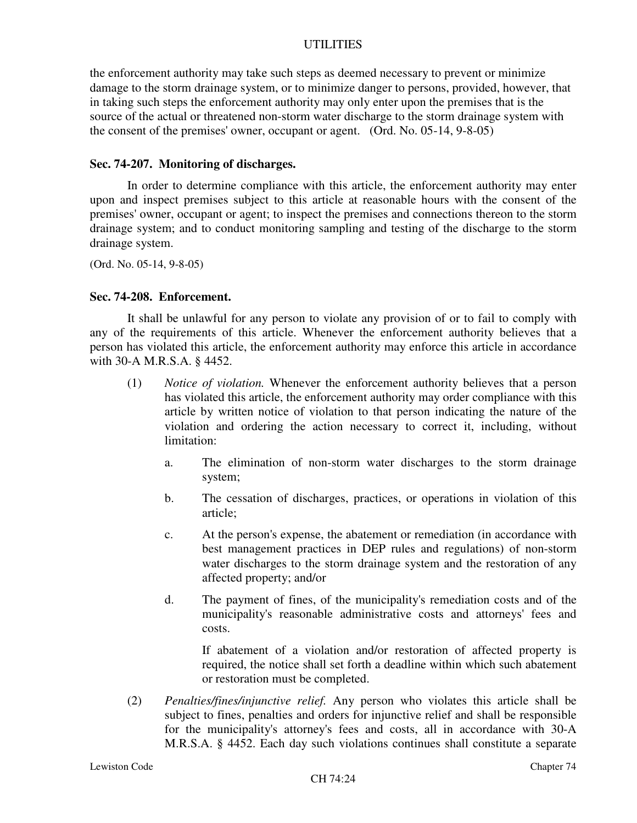the enforcement authority may take such steps as deemed necessary to prevent or minimize damage to the storm drainage system, or to minimize danger to persons, provided, however, that in taking such steps the enforcement authority may only enter upon the premises that is the source of the actual or threatened non-storm water discharge to the storm drainage system with the consent of the premises' owner, occupant or agent. (Ord. No. 05-14, 9-8-05)

### **Sec. 74-207. Monitoring of discharges.**

In order to determine compliance with this article, the enforcement authority may enter upon and inspect premises subject to this article at reasonable hours with the consent of the premises' owner, occupant or agent; to inspect the premises and connections thereon to the storm drainage system; and to conduct monitoring sampling and testing of the discharge to the storm drainage system.

(Ord. No. 05-14, 9-8-05)

#### **Sec. 74-208. Enforcement.**

It shall be unlawful for any person to violate any provision of or to fail to comply with any of the requirements of this article. Whenever the enforcement authority believes that a person has violated this article, the enforcement authority may enforce this article in accordance with 30-A M.R.S.A. § 4452.

- (1) *Notice of violation.* Whenever the enforcement authority believes that a person has violated this article, the enforcement authority may order compliance with this article by written notice of violation to that person indicating the nature of the violation and ordering the action necessary to correct it, including, without limitation:
	- a. The elimination of non-storm water discharges to the storm drainage system;
	- b. The cessation of discharges, practices, or operations in violation of this article;
	- c. At the person's expense, the abatement or remediation (in accordance with best management practices in DEP rules and regulations) of non-storm water discharges to the storm drainage system and the restoration of any affected property; and/or
	- d. The payment of fines, of the municipality's remediation costs and of the municipality's reasonable administrative costs and attorneys' fees and costs.

If abatement of a violation and/or restoration of affected property is required, the notice shall set forth a deadline within which such abatement or restoration must be completed.

(2) *Penalties/fines/injunctive relief.* Any person who violates this article shall be subject to fines, penalties and orders for injunctive relief and shall be responsible for the municipality's attorney's fees and costs, all in accordance with 30-A M.R.S.A. § 4452. Each day such violations continues shall constitute a separate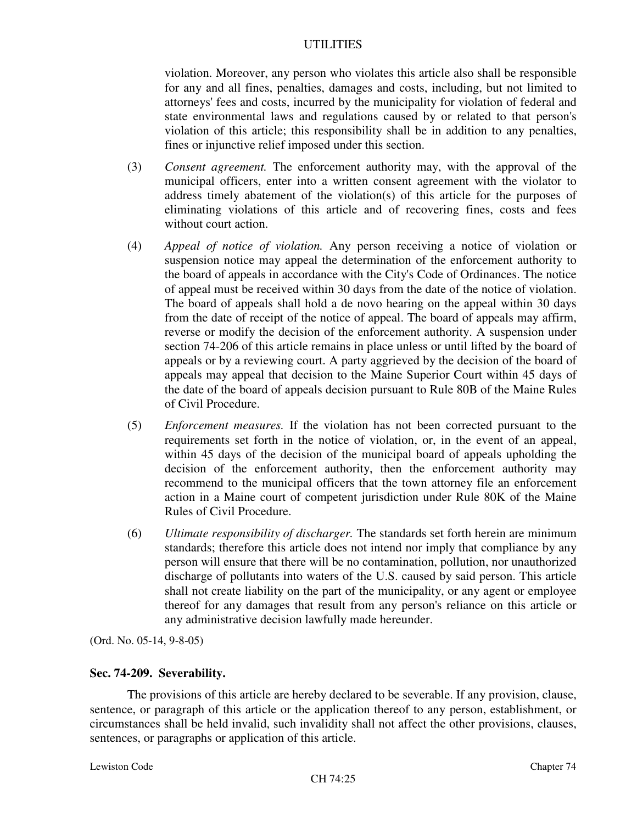violation. Moreover, any person who violates this article also shall be responsible for any and all fines, penalties, damages and costs, including, but not limited to attorneys' fees and costs, incurred by the municipality for violation of federal and state environmental laws and regulations caused by or related to that person's violation of this article; this responsibility shall be in addition to any penalties, fines or injunctive relief imposed under this section.

- (3) *Consent agreement.* The enforcement authority may, with the approval of the municipal officers, enter into a written consent agreement with the violator to address timely abatement of the violation(s) of this article for the purposes of eliminating violations of this article and of recovering fines, costs and fees without court action.
- (4) *Appeal of notice of violation.* Any person receiving a notice of violation or suspension notice may appeal the determination of the enforcement authority to the board of appeals in accordance with the City's Code of Ordinances. The notice of appeal must be received within 30 days from the date of the notice of violation. The board of appeals shall hold a de novo hearing on the appeal within 30 days from the date of receipt of the notice of appeal. The board of appeals may affirm, reverse or modify the decision of the enforcement authority. A suspension under section 74-206 of this article remains in place unless or until lifted by the board of appeals or by a reviewing court. A party aggrieved by the decision of the board of appeals may appeal that decision to the Maine Superior Court within 45 days of the date of the board of appeals decision pursuant to Rule 80B of the Maine Rules of Civil Procedure.
- (5) *Enforcement measures.* If the violation has not been corrected pursuant to the requirements set forth in the notice of violation, or, in the event of an appeal, within 45 days of the decision of the municipal board of appeals upholding the decision of the enforcement authority, then the enforcement authority may recommend to the municipal officers that the town attorney file an enforcement action in a Maine court of competent jurisdiction under Rule 80K of the Maine Rules of Civil Procedure.
- (6) *Ultimate responsibility of discharger.* The standards set forth herein are minimum standards; therefore this article does not intend nor imply that compliance by any person will ensure that there will be no contamination, pollution, nor unauthorized discharge of pollutants into waters of the U.S. caused by said person. This article shall not create liability on the part of the municipality, or any agent or employee thereof for any damages that result from any person's reliance on this article or any administrative decision lawfully made hereunder.

(Ord. No. 05-14, 9-8-05)

# **Sec. 74-209. Severability.**

The provisions of this article are hereby declared to be severable. If any provision, clause, sentence, or paragraph of this article or the application thereof to any person, establishment, or circumstances shall be held invalid, such invalidity shall not affect the other provisions, clauses, sentences, or paragraphs or application of this article.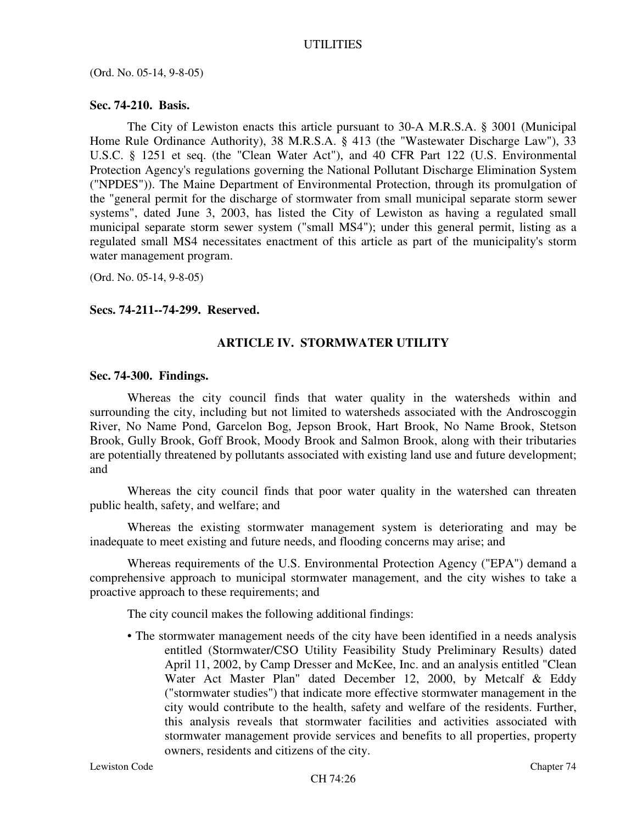(Ord. No. 05-14, 9-8-05)

### **Sec. 74-210. Basis.**

The City of Lewiston enacts this article pursuant to 30-A M.R.S.A. § 3001 (Municipal Home Rule Ordinance Authority), 38 M.R.S.A. § 413 (the "Wastewater Discharge Law"), 33 U.S.C. § 1251 et seq. (the "Clean Water Act"), and 40 CFR Part 122 (U.S. Environmental Protection Agency's regulations governing the National Pollutant Discharge Elimination System ("NPDES")). The Maine Department of Environmental Protection, through its promulgation of the "general permit for the discharge of stormwater from small municipal separate storm sewer systems", dated June 3, 2003, has listed the City of Lewiston as having a regulated small municipal separate storm sewer system ("small MS4"); under this general permit, listing as a regulated small MS4 necessitates enactment of this article as part of the municipality's storm water management program.

(Ord. No. 05-14, 9-8-05)

### **Secs. 74-211--74-299. Reserved.**

# **ARTICLE IV. STORMWATER UTILITY**

#### **Sec. 74-300. Findings.**

Whereas the city council finds that water quality in the watersheds within and surrounding the city, including but not limited to watersheds associated with the Androscoggin River, No Name Pond, Garcelon Bog, Jepson Brook, Hart Brook, No Name Brook, Stetson Brook, Gully Brook, Goff Brook, Moody Brook and Salmon Brook, along with their tributaries are potentially threatened by pollutants associated with existing land use and future development; and

Whereas the city council finds that poor water quality in the watershed can threaten public health, safety, and welfare; and

Whereas the existing stormwater management system is deteriorating and may be inadequate to meet existing and future needs, and flooding concerns may arise; and

Whereas requirements of the U.S. Environmental Protection Agency ("EPA") demand a comprehensive approach to municipal stormwater management, and the city wishes to take a proactive approach to these requirements; and

The city council makes the following additional findings:

• The stormwater management needs of the city have been identified in a needs analysis entitled (Stormwater/CSO Utility Feasibility Study Preliminary Results) dated April 11, 2002, by Camp Dresser and McKee, Inc. and an analysis entitled "Clean Water Act Master Plan" dated December 12, 2000, by Metcalf & Eddy ("stormwater studies") that indicate more effective stormwater management in the city would contribute to the health, safety and welfare of the residents. Further, this analysis reveals that stormwater facilities and activities associated with stormwater management provide services and benefits to all properties, property owners, residents and citizens of the city.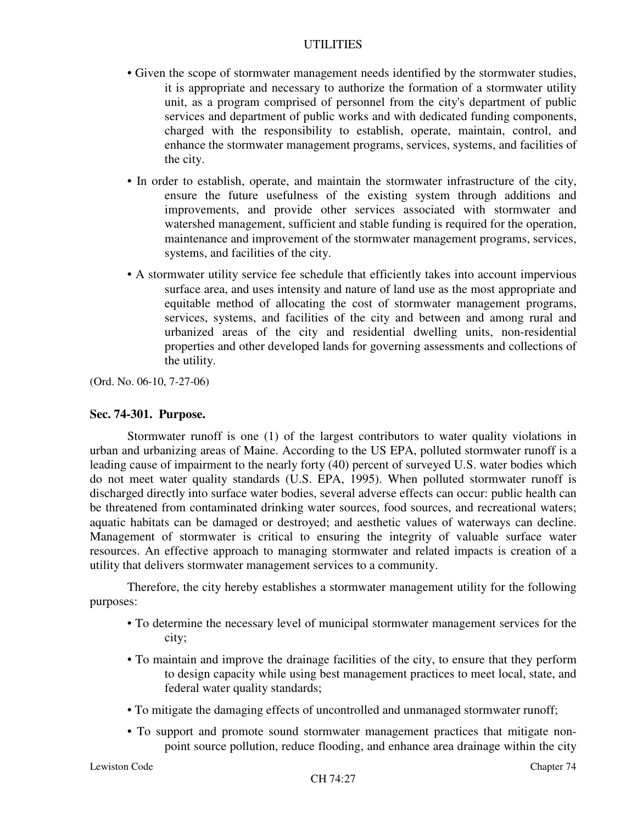- Given the scope of stormwater management needs identified by the stormwater studies, it is appropriate and necessary to authorize the formation of a stormwater utility unit, as a program comprised of personnel from the city's department of public services and department of public works and with dedicated funding components, charged with the responsibility to establish, operate, maintain, control, and enhance the stormwater management programs, services, systems, and facilities of the city.
- In order to establish, operate, and maintain the stormwater infrastructure of the city, ensure the future usefulness of the existing system through additions and improvements, and provide other services associated with stormwater and watershed management, sufficient and stable funding is required for the operation, maintenance and improvement of the stormwater management programs, services, systems, and facilities of the city.
- A stormwater utility service fee schedule that efficiently takes into account impervious surface area, and uses intensity and nature of land use as the most appropriate and equitable method of allocating the cost of stormwater management programs, services, systems, and facilities of the city and between and among rural and urbanized areas of the city and residential dwelling units, non-residential properties and other developed lands for governing assessments and collections of the utility.

(Ord. No. 06-10, 7-27-06)

# **Sec. 74-301. Purpose.**

Stormwater runoff is one (1) of the largest contributors to water quality violations in urban and urbanizing areas of Maine. According to the US EPA, polluted stormwater runoff is a leading cause of impairment to the nearly forty (40) percent of surveyed U.S. water bodies which do not meet water quality standards (U.S. EPA, 1995). When polluted stormwater runoff is discharged directly into surface water bodies, several adverse effects can occur: public health can be threatened from contaminated drinking water sources, food sources, and recreational waters; aquatic habitats can be damaged or destroyed; and aesthetic values of waterways can decline. Management of stormwater is critical to ensuring the integrity of valuable surface water resources. An effective approach to managing stormwater and related impacts is creation of a utility that delivers stormwater management services to a community.

Therefore, the city hereby establishes a stormwater management utility for the following purposes:

- To determine the necessary level of municipal stormwater management services for the city;
- To maintain and improve the drainage facilities of the city, to ensure that they perform to design capacity while using best management practices to meet local, state, and federal water quality standards;
- To mitigate the damaging effects of uncontrolled and unmanaged stormwater runoff;
- To support and promote sound stormwater management practices that mitigate nonpoint source pollution, reduce flooding, and enhance area drainage within the city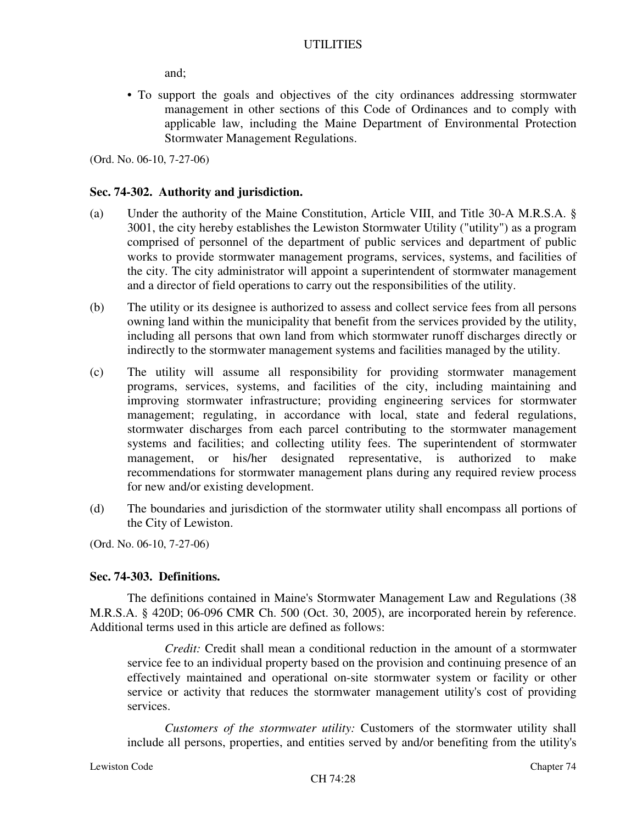and;

• To support the goals and objectives of the city ordinances addressing stormwater management in other sections of this Code of Ordinances and to comply with applicable law, including the Maine Department of Environmental Protection Stormwater Management Regulations.

(Ord. No. 06-10, 7-27-06)

### **Sec. 74-302. Authority and jurisdiction.**

- (a) Under the authority of the Maine Constitution, Article VIII, and Title 30-A M.R.S.A. § 3001, the city hereby establishes the Lewiston Stormwater Utility ("utility") as a program comprised of personnel of the department of public services and department of public works to provide stormwater management programs, services, systems, and facilities of the city. The city administrator will appoint a superintendent of stormwater management and a director of field operations to carry out the responsibilities of the utility.
- (b) The utility or its designee is authorized to assess and collect service fees from all persons owning land within the municipality that benefit from the services provided by the utility, including all persons that own land from which stormwater runoff discharges directly or indirectly to the stormwater management systems and facilities managed by the utility.
- (c) The utility will assume all responsibility for providing stormwater management programs, services, systems, and facilities of the city, including maintaining and improving stormwater infrastructure; providing engineering services for stormwater management; regulating, in accordance with local, state and federal regulations, stormwater discharges from each parcel contributing to the stormwater management systems and facilities; and collecting utility fees. The superintendent of stormwater management, or his/her designated representative, is authorized to make recommendations for stormwater management plans during any required review process for new and/or existing development.
- (d) The boundaries and jurisdiction of the stormwater utility shall encompass all portions of the City of Lewiston.

(Ord. No. 06-10, 7-27-06)

#### **Sec. 74-303. Definitions.**

The definitions contained in Maine's Stormwater Management Law and Regulations (38 M.R.S.A. § 420D; 06-096 CMR Ch. 500 (Oct. 30, 2005), are incorporated herein by reference. Additional terms used in this article are defined as follows:

*Credit:* Credit shall mean a conditional reduction in the amount of a stormwater service fee to an individual property based on the provision and continuing presence of an effectively maintained and operational on-site stormwater system or facility or other service or activity that reduces the stormwater management utility's cost of providing services.

*Customers of the stormwater utility:* Customers of the stormwater utility shall include all persons, properties, and entities served by and/or benefiting from the utility's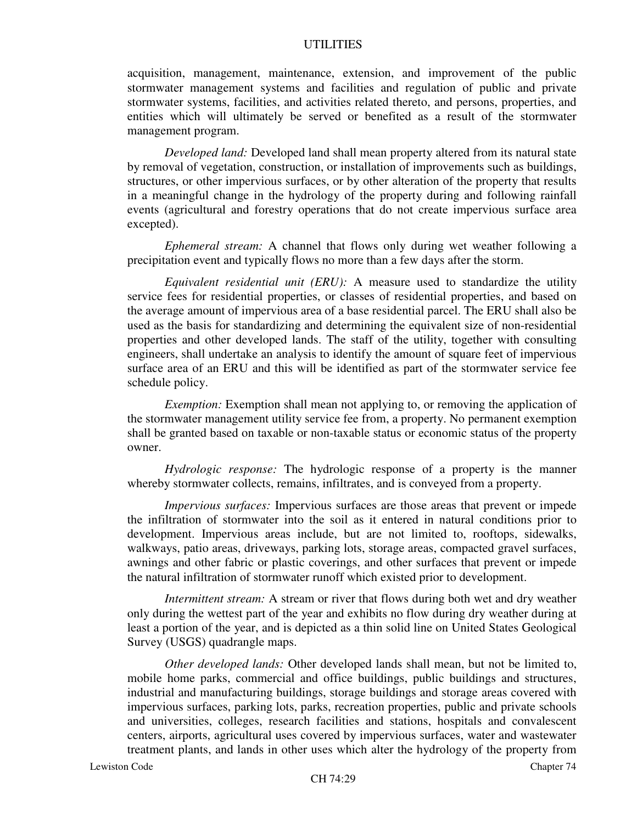acquisition, management, maintenance, extension, and improvement of the public stormwater management systems and facilities and regulation of public and private stormwater systems, facilities, and activities related thereto, and persons, properties, and entities which will ultimately be served or benefited as a result of the stormwater management program.

*Developed land:* Developed land shall mean property altered from its natural state by removal of vegetation, construction, or installation of improvements such as buildings, structures, or other impervious surfaces, or by other alteration of the property that results in a meaningful change in the hydrology of the property during and following rainfall events (agricultural and forestry operations that do not create impervious surface area excepted).

*Ephemeral stream:* A channel that flows only during wet weather following a precipitation event and typically flows no more than a few days after the storm.

*Equivalent residential unit (ERU):* A measure used to standardize the utility service fees for residential properties, or classes of residential properties, and based on the average amount of impervious area of a base residential parcel. The ERU shall also be used as the basis for standardizing and determining the equivalent size of non-residential properties and other developed lands. The staff of the utility, together with consulting engineers, shall undertake an analysis to identify the amount of square feet of impervious surface area of an ERU and this will be identified as part of the stormwater service fee schedule policy.

*Exemption:* Exemption shall mean not applying to, or removing the application of the stormwater management utility service fee from, a property. No permanent exemption shall be granted based on taxable or non-taxable status or economic status of the property owner.

*Hydrologic response:* The hydrologic response of a property is the manner whereby stormwater collects, remains, infiltrates, and is conveyed from a property.

*Impervious surfaces:* Impervious surfaces are those areas that prevent or impede the infiltration of stormwater into the soil as it entered in natural conditions prior to development. Impervious areas include, but are not limited to, rooftops, sidewalks, walkways, patio areas, driveways, parking lots, storage areas, compacted gravel surfaces, awnings and other fabric or plastic coverings, and other surfaces that prevent or impede the natural infiltration of stormwater runoff which existed prior to development.

*Intermittent stream:* A stream or river that flows during both wet and dry weather only during the wettest part of the year and exhibits no flow during dry weather during at least a portion of the year, and is depicted as a thin solid line on United States Geological Survey (USGS) quadrangle maps.

*Other developed lands:* Other developed lands shall mean, but not be limited to, mobile home parks, commercial and office buildings, public buildings and structures, industrial and manufacturing buildings, storage buildings and storage areas covered with impervious surfaces, parking lots, parks, recreation properties, public and private schools and universities, colleges, research facilities and stations, hospitals and convalescent centers, airports, agricultural uses covered by impervious surfaces, water and wastewater treatment plants, and lands in other uses which alter the hydrology of the property from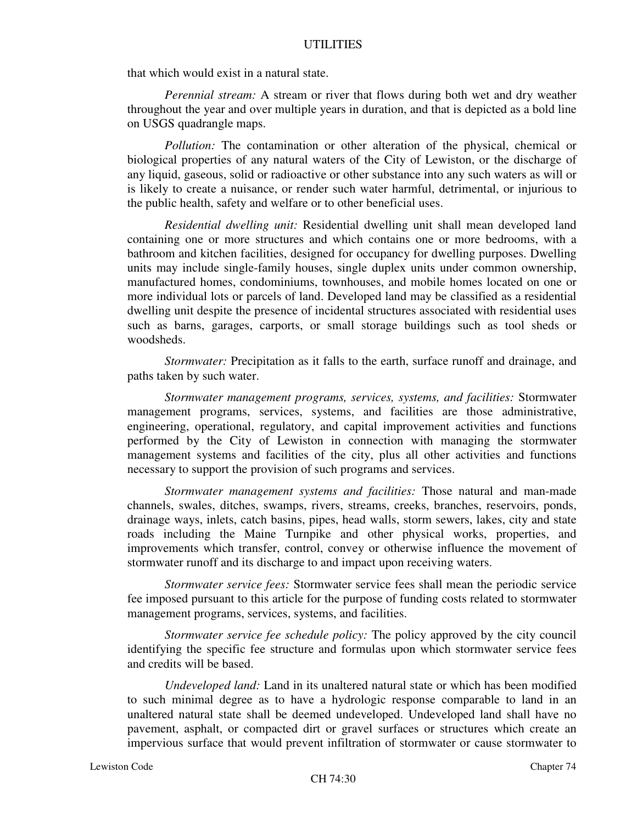that which would exist in a natural state.

*Perennial stream:* A stream or river that flows during both wet and dry weather throughout the year and over multiple years in duration, and that is depicted as a bold line on USGS quadrangle maps.

*Pollution:* The contamination or other alteration of the physical, chemical or biological properties of any natural waters of the City of Lewiston, or the discharge of any liquid, gaseous, solid or radioactive or other substance into any such waters as will or is likely to create a nuisance, or render such water harmful, detrimental, or injurious to the public health, safety and welfare or to other beneficial uses.

*Residential dwelling unit:* Residential dwelling unit shall mean developed land containing one or more structures and which contains one or more bedrooms, with a bathroom and kitchen facilities, designed for occupancy for dwelling purposes. Dwelling units may include single-family houses, single duplex units under common ownership, manufactured homes, condominiums, townhouses, and mobile homes located on one or more individual lots or parcels of land. Developed land may be classified as a residential dwelling unit despite the presence of incidental structures associated with residential uses such as barns, garages, carports, or small storage buildings such as tool sheds or woodsheds.

*Stormwater:* Precipitation as it falls to the earth, surface runoff and drainage, and paths taken by such water.

*Stormwater management programs, services, systems, and facilities:* Stormwater management programs, services, systems, and facilities are those administrative, engineering, operational, regulatory, and capital improvement activities and functions performed by the City of Lewiston in connection with managing the stormwater management systems and facilities of the city, plus all other activities and functions necessary to support the provision of such programs and services.

*Stormwater management systems and facilities:* Those natural and man-made channels, swales, ditches, swamps, rivers, streams, creeks, branches, reservoirs, ponds, drainage ways, inlets, catch basins, pipes, head walls, storm sewers, lakes, city and state roads including the Maine Turnpike and other physical works, properties, and improvements which transfer, control, convey or otherwise influence the movement of stormwater runoff and its discharge to and impact upon receiving waters.

*Stormwater service fees:* Stormwater service fees shall mean the periodic service fee imposed pursuant to this article for the purpose of funding costs related to stormwater management programs, services, systems, and facilities.

*Stormwater service fee schedule policy:* The policy approved by the city council identifying the specific fee structure and formulas upon which stormwater service fees and credits will be based.

*Undeveloped land:* Land in its unaltered natural state or which has been modified to such minimal degree as to have a hydrologic response comparable to land in an unaltered natural state shall be deemed undeveloped. Undeveloped land shall have no pavement, asphalt, or compacted dirt or gravel surfaces or structures which create an impervious surface that would prevent infiltration of stormwater or cause stormwater to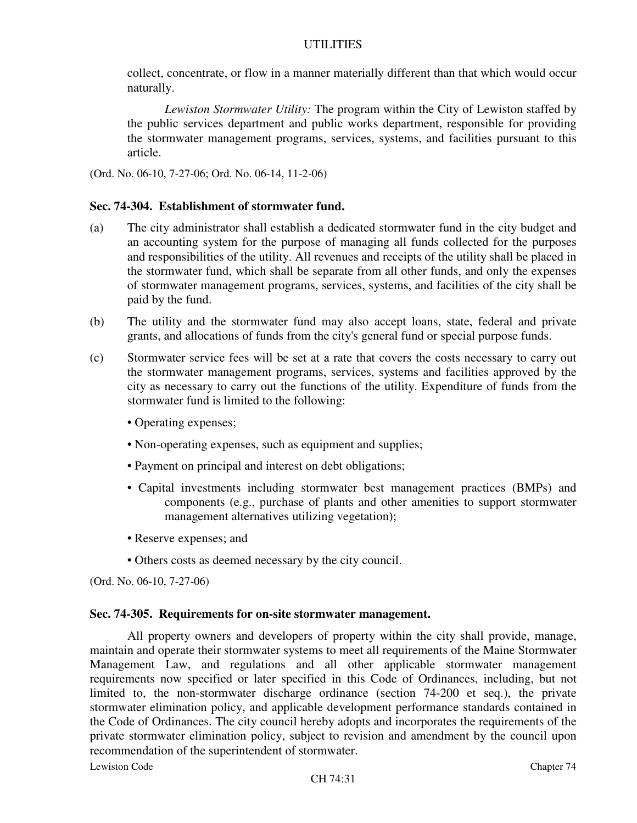collect, concentrate, or flow in a manner materially different than that which would occur naturally.

*Lewiston Stormwater Utility:* The program within the City of Lewiston staffed by the public services department and public works department, responsible for providing the stormwater management programs, services, systems, and facilities pursuant to this article.

(Ord. No. 06-10, 7-27-06; Ord. No. 06-14, 11-2-06)

#### **Sec. 74-304. Establishment of stormwater fund.**

- (a) The city administrator shall establish a dedicated stormwater fund in the city budget and an accounting system for the purpose of managing all funds collected for the purposes and responsibilities of the utility. All revenues and receipts of the utility shall be placed in the stormwater fund, which shall be separate from all other funds, and only the expenses of stormwater management programs, services, systems, and facilities of the city shall be paid by the fund.
- (b) The utility and the stormwater fund may also accept loans, state, federal and private grants, and allocations of funds from the city's general fund or special purpose funds.
- (c) Stormwater service fees will be set at a rate that covers the costs necessary to carry out the stormwater management programs, services, systems and facilities approved by the city as necessary to carry out the functions of the utility. Expenditure of funds from the stormwater fund is limited to the following:
	- Operating expenses;
	- Non-operating expenses, such as equipment and supplies;
	- Payment on principal and interest on debt obligations;
	- Capital investments including stormwater best management practices (BMPs) and components (e.g., purchase of plants and other amenities to support stormwater management alternatives utilizing vegetation);
	- Reserve expenses; and
	- Others costs as deemed necessary by the city council.

(Ord. No. 06-10, 7-27-06)

#### **Sec. 74-305. Requirements for on-site stormwater management.**

All property owners and developers of property within the city shall provide, manage, maintain and operate their stormwater systems to meet all requirements of the Maine Stormwater Management Law, and regulations and all other applicable stormwater management requirements now specified or later specified in this Code of Ordinances, including, but not limited to, the non-stormwater discharge ordinance (section 74-200 et seq.), the private stormwater elimination policy, and applicable development performance standards contained in the Code of Ordinances. The city council hereby adopts and incorporates the requirements of the private stormwater elimination policy, subject to revision and amendment by the council upon recommendation of the superintendent of stormwater.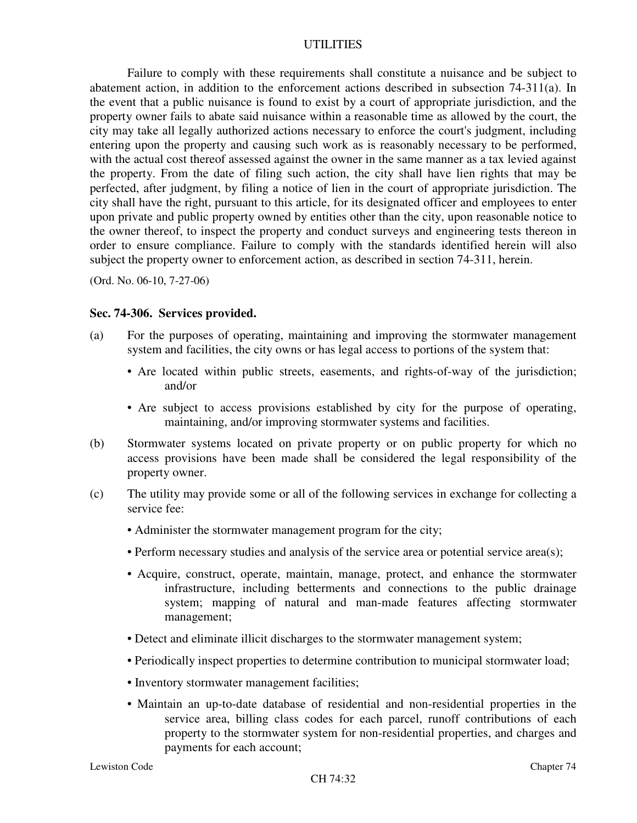Failure to comply with these requirements shall constitute a nuisance and be subject to abatement action, in addition to the enforcement actions described in subsection 74-311(a). In the event that a public nuisance is found to exist by a court of appropriate jurisdiction, and the property owner fails to abate said nuisance within a reasonable time as allowed by the court, the city may take all legally authorized actions necessary to enforce the court's judgment, including entering upon the property and causing such work as is reasonably necessary to be performed, with the actual cost thereof assessed against the owner in the same manner as a tax levied against the property. From the date of filing such action, the city shall have lien rights that may be perfected, after judgment, by filing a notice of lien in the court of appropriate jurisdiction. The city shall have the right, pursuant to this article, for its designated officer and employees to enter upon private and public property owned by entities other than the city, upon reasonable notice to the owner thereof, to inspect the property and conduct surveys and engineering tests thereon in order to ensure compliance. Failure to comply with the standards identified herein will also subject the property owner to enforcement action, as described in section 74-311, herein.

(Ord. No. 06-10, 7-27-06)

#### **Sec. 74-306. Services provided.**

- (a) For the purposes of operating, maintaining and improving the stormwater management system and facilities, the city owns or has legal access to portions of the system that:
	- Are located within public streets, easements, and rights-of-way of the jurisdiction; and/or
	- Are subject to access provisions established by city for the purpose of operating, maintaining, and/or improving stormwater systems and facilities.
- (b) Stormwater systems located on private property or on public property for which no access provisions have been made shall be considered the legal responsibility of the property owner.
- (c) The utility may provide some or all of the following services in exchange for collecting a service fee:
	- Administer the stormwater management program for the city;
	- Perform necessary studies and analysis of the service area or potential service area(s);
	- Acquire, construct, operate, maintain, manage, protect, and enhance the stormwater infrastructure, including betterments and connections to the public drainage system; mapping of natural and man-made features affecting stormwater management;
	- Detect and eliminate illicit discharges to the stormwater management system;
	- Periodically inspect properties to determine contribution to municipal stormwater load;
	- Inventory stormwater management facilities;
	- Maintain an up-to-date database of residential and non-residential properties in the service area, billing class codes for each parcel, runoff contributions of each property to the stormwater system for non-residential properties, and charges and payments for each account;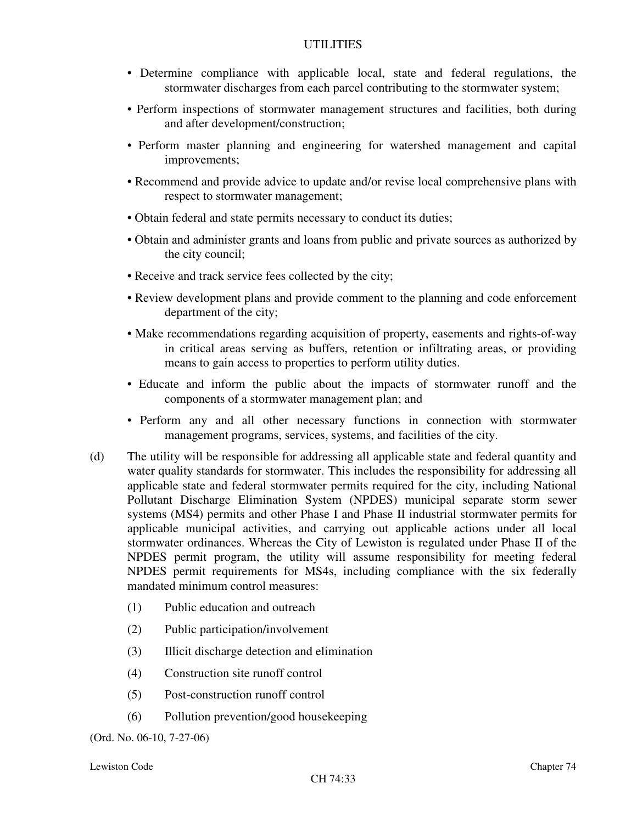- Determine compliance with applicable local, state and federal regulations, the stormwater discharges from each parcel contributing to the stormwater system;
- Perform inspections of stormwater management structures and facilities, both during and after development/construction;
- Perform master planning and engineering for watershed management and capital improvements;
- Recommend and provide advice to update and/or revise local comprehensive plans with respect to stormwater management;
- Obtain federal and state permits necessary to conduct its duties;
- Obtain and administer grants and loans from public and private sources as authorized by the city council;
- Receive and track service fees collected by the city;
- Review development plans and provide comment to the planning and code enforcement department of the city;
- Make recommendations regarding acquisition of property, easements and rights-of-way in critical areas serving as buffers, retention or infiltrating areas, or providing means to gain access to properties to perform utility duties.
- Educate and inform the public about the impacts of stormwater runoff and the components of a stormwater management plan; and
- Perform any and all other necessary functions in connection with stormwater management programs, services, systems, and facilities of the city.
- (d) The utility will be responsible for addressing all applicable state and federal quantity and water quality standards for stormwater. This includes the responsibility for addressing all applicable state and federal stormwater permits required for the city, including National Pollutant Discharge Elimination System (NPDES) municipal separate storm sewer systems (MS4) permits and other Phase I and Phase II industrial stormwater permits for applicable municipal activities, and carrying out applicable actions under all local stormwater ordinances. Whereas the City of Lewiston is regulated under Phase II of the NPDES permit program, the utility will assume responsibility for meeting federal NPDES permit requirements for MS4s, including compliance with the six federally mandated minimum control measures:
	- (1) Public education and outreach
	- (2) Public participation/involvement
	- (3) Illicit discharge detection and elimination
	- (4) Construction site runoff control
	- (5) Post-construction runoff control
	- (6) Pollution prevention/good housekeeping

(Ord. No. 06-10, 7-27-06)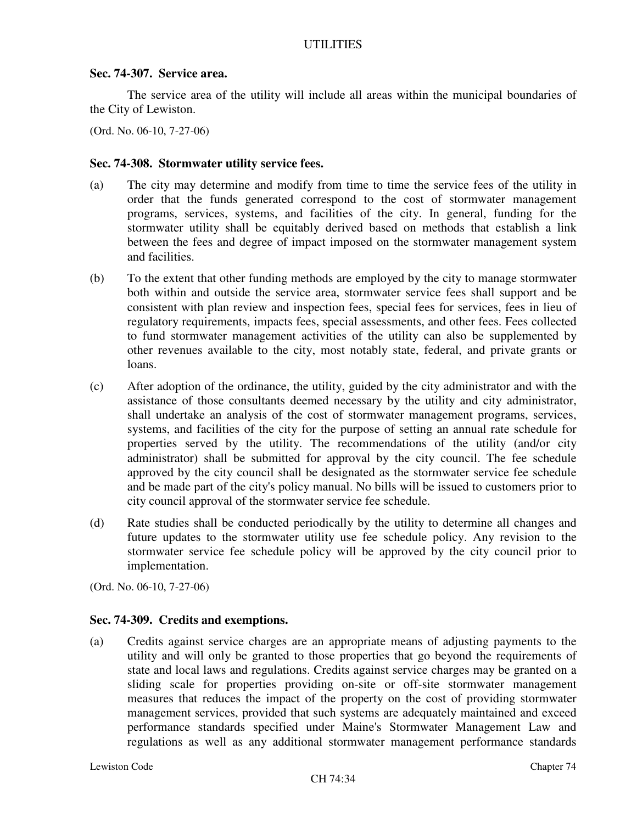#### **Sec. 74-307. Service area.**

The service area of the utility will include all areas within the municipal boundaries of the City of Lewiston.

(Ord. No. 06-10, 7-27-06)

### **Sec. 74-308. Stormwater utility service fees.**

- (a) The city may determine and modify from time to time the service fees of the utility in order that the funds generated correspond to the cost of stormwater management programs, services, systems, and facilities of the city. In general, funding for the stormwater utility shall be equitably derived based on methods that establish a link between the fees and degree of impact imposed on the stormwater management system and facilities.
- (b) To the extent that other funding methods are employed by the city to manage stormwater both within and outside the service area, stormwater service fees shall support and be consistent with plan review and inspection fees, special fees for services, fees in lieu of regulatory requirements, impacts fees, special assessments, and other fees. Fees collected to fund stormwater management activities of the utility can also be supplemented by other revenues available to the city, most notably state, federal, and private grants or loans.
- (c) After adoption of the ordinance, the utility, guided by the city administrator and with the assistance of those consultants deemed necessary by the utility and city administrator, shall undertake an analysis of the cost of stormwater management programs, services, systems, and facilities of the city for the purpose of setting an annual rate schedule for properties served by the utility. The recommendations of the utility (and/or city administrator) shall be submitted for approval by the city council. The fee schedule approved by the city council shall be designated as the stormwater service fee schedule and be made part of the city's policy manual. No bills will be issued to customers prior to city council approval of the stormwater service fee schedule.
- (d) Rate studies shall be conducted periodically by the utility to determine all changes and future updates to the stormwater utility use fee schedule policy. Any revision to the stormwater service fee schedule policy will be approved by the city council prior to implementation.

(Ord. No. 06-10, 7-27-06)

# **Sec. 74-309. Credits and exemptions.**

(a) Credits against service charges are an appropriate means of adjusting payments to the utility and will only be granted to those properties that go beyond the requirements of state and local laws and regulations. Credits against service charges may be granted on a sliding scale for properties providing on-site or off-site stormwater management measures that reduces the impact of the property on the cost of providing stormwater management services, provided that such systems are adequately maintained and exceed performance standards specified under Maine's Stormwater Management Law and regulations as well as any additional stormwater management performance standards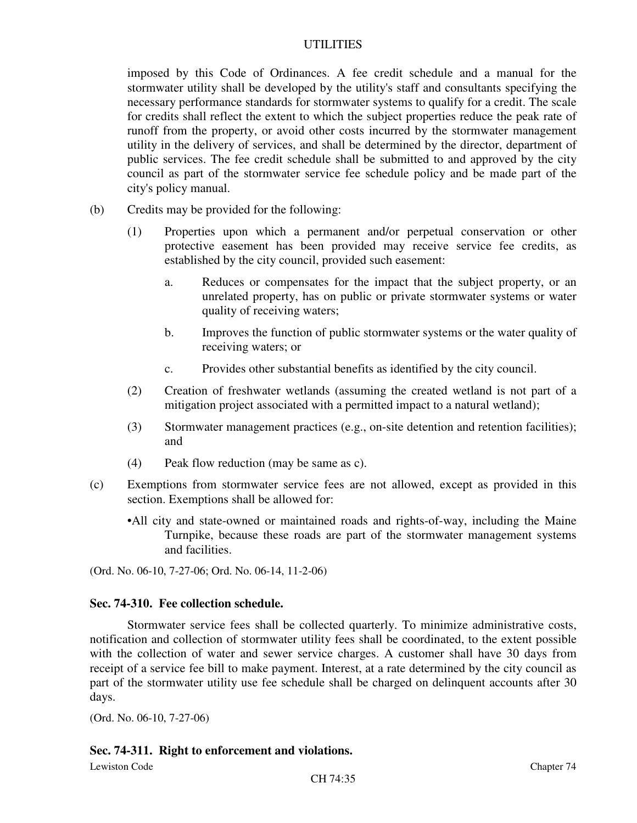imposed by this Code of Ordinances. A fee credit schedule and a manual for the stormwater utility shall be developed by the utility's staff and consultants specifying the necessary performance standards for stormwater systems to qualify for a credit. The scale for credits shall reflect the extent to which the subject properties reduce the peak rate of runoff from the property, or avoid other costs incurred by the stormwater management utility in the delivery of services, and shall be determined by the director, department of public services. The fee credit schedule shall be submitted to and approved by the city council as part of the stormwater service fee schedule policy and be made part of the city's policy manual.

- (b) Credits may be provided for the following:
	- (1) Properties upon which a permanent and/or perpetual conservation or other protective easement has been provided may receive service fee credits, as established by the city council, provided such easement:
		- a. Reduces or compensates for the impact that the subject property, or an unrelated property, has on public or private stormwater systems or water quality of receiving waters;
		- b. Improves the function of public stormwater systems or the water quality of receiving waters; or
		- c. Provides other substantial benefits as identified by the city council.
	- (2) Creation of freshwater wetlands (assuming the created wetland is not part of a mitigation project associated with a permitted impact to a natural wetland);
	- (3) Stormwater management practices (e.g., on-site detention and retention facilities); and
	- (4) Peak flow reduction (may be same as c).
- (c) Exemptions from stormwater service fees are not allowed, except as provided in this section. Exemptions shall be allowed for:
	- •All city and state-owned or maintained roads and rights-of-way, including the Maine Turnpike, because these roads are part of the stormwater management systems and facilities.

(Ord. No. 06-10, 7-27-06; Ord. No. 06-14, 11-2-06)

# **Sec. 74-310. Fee collection schedule.**

Stormwater service fees shall be collected quarterly. To minimize administrative costs, notification and collection of stormwater utility fees shall be coordinated, to the extent possible with the collection of water and sewer service charges. A customer shall have 30 days from receipt of a service fee bill to make payment. Interest, at a rate determined by the city council as part of the stormwater utility use fee schedule shall be charged on delinquent accounts after 30 days.

(Ord. No. 06-10, 7-27-06)

# **Sec. 74-311. Right to enforcement and violations.**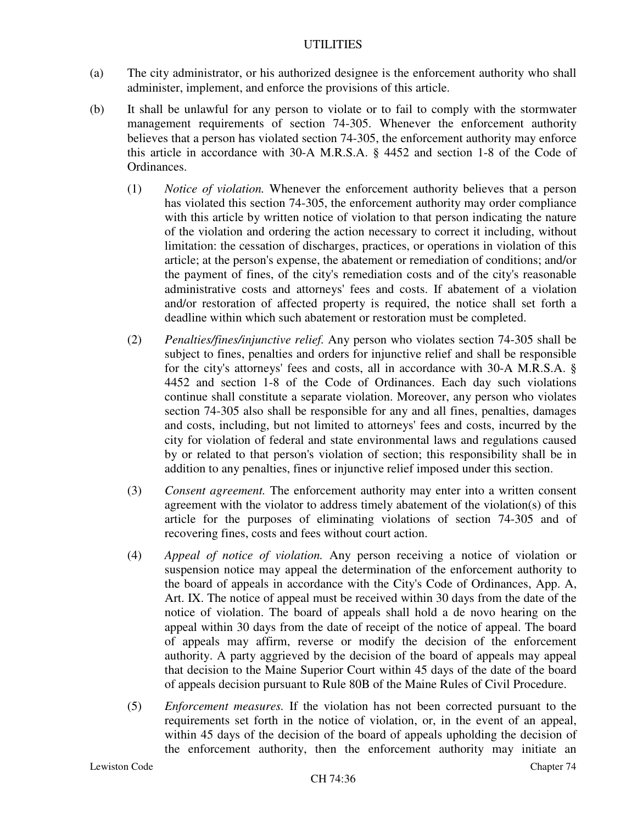- (a) The city administrator, or his authorized designee is the enforcement authority who shall administer, implement, and enforce the provisions of this article.
- (b) It shall be unlawful for any person to violate or to fail to comply with the stormwater management requirements of section 74-305. Whenever the enforcement authority believes that a person has violated section 74-305, the enforcement authority may enforce this article in accordance with 30-A M.R.S.A. § 4452 and section 1-8 of the Code of Ordinances.
	- (1) *Notice of violation.* Whenever the enforcement authority believes that a person has violated this section 74-305, the enforcement authority may order compliance with this article by written notice of violation to that person indicating the nature of the violation and ordering the action necessary to correct it including, without limitation: the cessation of discharges, practices, or operations in violation of this article; at the person's expense, the abatement or remediation of conditions; and/or the payment of fines, of the city's remediation costs and of the city's reasonable administrative costs and attorneys' fees and costs. If abatement of a violation and/or restoration of affected property is required, the notice shall set forth a deadline within which such abatement or restoration must be completed.
	- (2) *Penalties/fines/injunctive relief.* Any person who violates section 74-305 shall be subject to fines, penalties and orders for injunctive relief and shall be responsible for the city's attorneys' fees and costs, all in accordance with 30-A M.R.S.A. § 4452 and section 1-8 of the Code of Ordinances. Each day such violations continue shall constitute a separate violation. Moreover, any person who violates section 74-305 also shall be responsible for any and all fines, penalties, damages and costs, including, but not limited to attorneys' fees and costs, incurred by the city for violation of federal and state environmental laws and regulations caused by or related to that person's violation of section; this responsibility shall be in addition to any penalties, fines or injunctive relief imposed under this section.
	- (3) *Consent agreement.* The enforcement authority may enter into a written consent agreement with the violator to address timely abatement of the violation(s) of this article for the purposes of eliminating violations of section 74-305 and of recovering fines, costs and fees without court action.
	- (4) *Appeal of notice of violation.* Any person receiving a notice of violation or suspension notice may appeal the determination of the enforcement authority to the board of appeals in accordance with the City's Code of Ordinances, App. A, Art. IX. The notice of appeal must be received within 30 days from the date of the notice of violation. The board of appeals shall hold a de novo hearing on the appeal within 30 days from the date of receipt of the notice of appeal. The board of appeals may affirm, reverse or modify the decision of the enforcement authority. A party aggrieved by the decision of the board of appeals may appeal that decision to the Maine Superior Court within 45 days of the date of the board of appeals decision pursuant to Rule 80B of the Maine Rules of Civil Procedure.
	- (5) *Enforcement measures.* If the violation has not been corrected pursuant to the requirements set forth in the notice of violation, or, in the event of an appeal, within 45 days of the decision of the board of appeals upholding the decision of the enforcement authority, then the enforcement authority may initiate an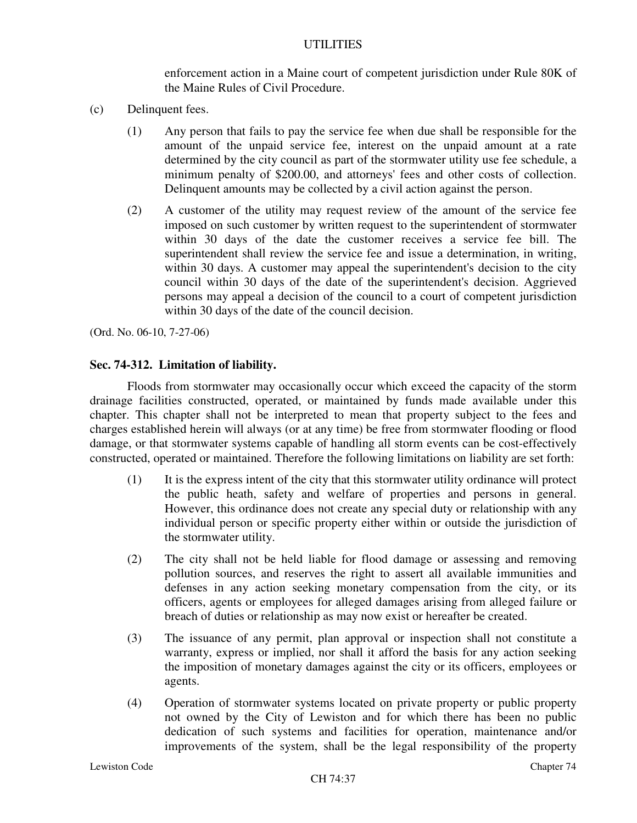enforcement action in a Maine court of competent jurisdiction under Rule 80K of the Maine Rules of Civil Procedure.

- (c) Delinquent fees.
	- (1) Any person that fails to pay the service fee when due shall be responsible for the amount of the unpaid service fee, interest on the unpaid amount at a rate determined by the city council as part of the stormwater utility use fee schedule, a minimum penalty of \$200.00, and attorneys' fees and other costs of collection. Delinquent amounts may be collected by a civil action against the person.
	- (2) A customer of the utility may request review of the amount of the service fee imposed on such customer by written request to the superintendent of stormwater within 30 days of the date the customer receives a service fee bill. The superintendent shall review the service fee and issue a determination, in writing, within 30 days. A customer may appeal the superintendent's decision to the city council within 30 days of the date of the superintendent's decision. Aggrieved persons may appeal a decision of the council to a court of competent jurisdiction within 30 days of the date of the council decision.

(Ord. No. 06-10, 7-27-06)

#### **Sec. 74-312. Limitation of liability.**

Floods from stormwater may occasionally occur which exceed the capacity of the storm drainage facilities constructed, operated, or maintained by funds made available under this chapter. This chapter shall not be interpreted to mean that property subject to the fees and charges established herein will always (or at any time) be free from stormwater flooding or flood damage, or that stormwater systems capable of handling all storm events can be cost-effectively constructed, operated or maintained. Therefore the following limitations on liability are set forth:

- (1) It is the express intent of the city that this stormwater utility ordinance will protect the public heath, safety and welfare of properties and persons in general. However, this ordinance does not create any special duty or relationship with any individual person or specific property either within or outside the jurisdiction of the stormwater utility.
- (2) The city shall not be held liable for flood damage or assessing and removing pollution sources, and reserves the right to assert all available immunities and defenses in any action seeking monetary compensation from the city, or its officers, agents or employees for alleged damages arising from alleged failure or breach of duties or relationship as may now exist or hereafter be created.
- (3) The issuance of any permit, plan approval or inspection shall not constitute a warranty, express or implied, nor shall it afford the basis for any action seeking the imposition of monetary damages against the city or its officers, employees or agents.
- (4) Operation of stormwater systems located on private property or public property not owned by the City of Lewiston and for which there has been no public dedication of such systems and facilities for operation, maintenance and/or improvements of the system, shall be the legal responsibility of the property